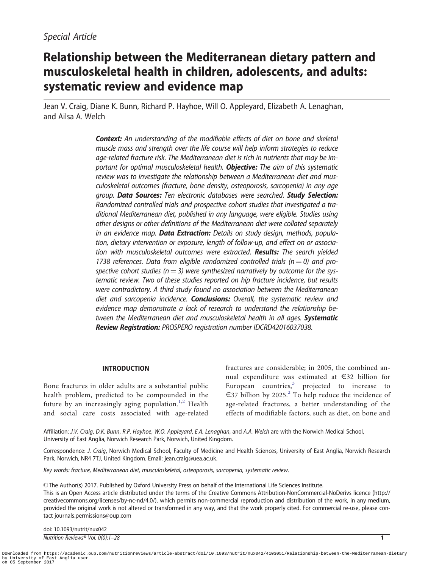# Special Article

# Relationship between the Mediterranean dietary pattern and musculoskeletal health in children, adolescents, and adults: systematic review and evidence map

Jean V. Craig, Diane K. Bunn, Richard P. Hayhoe, Will O. Appleyard, Elizabeth A. Lenaghan, and Ailsa A. Welch

> **Context:** An understanding of the modifiable effects of diet on bone and skeletal muscle mass and strength over the life course will help inform strategies to reduce age-related fracture risk. The Mediterranean diet is rich in nutrients that may be important for optimal musculoskeletal health. Objective: The aim of this systematic review was to investigate the relationship between a Mediterranean diet and musculoskeletal outcomes (fracture, bone density, osteoporosis, sarcopenia) in any age group. Data Sources: Ten electronic databases were searched. Study Selection: Randomized controlled trials and prospective cohort studies that investigated a traditional Mediterranean diet, published in any language, were eligible. Studies using other designs or other definitions of the Mediterranean diet were collated separately in an evidence map. Data Extraction: Details on study design, methods, population, dietary intervention or exposure, length of follow-up, and effect on or association with musculoskeletal outcomes were extracted. Results: The search yielded 1738 references. Data from eligible randomized controlled trials ( $n = 0$ ) and prospective cohort studies ( $n = 3$ ) were synthesized narratively by outcome for the systematic review. Two of these studies reported on hip fracture incidence, but results were contradictory. A third study found no association between the Mediterranean diet and sarcopenia incidence. **Conclusions:** Overall, the systematic review and evidence map demonstrate a lack of research to understand the relationship between the Mediterranean diet and musculoskeletal health in all ages. Systematic Review Registration: PROSPERO registration number IDCRD42016037038.

# INTRODUCTION

Bone fractures in older adults are a substantial public health problem, predicted to be compounded in the future by an increasingly aging population.<sup>[1,2](#page-25-0)</sup> Health and social care costs associated with age-related fractures are considerable; in 2005, the combined annual expenditure was estimated at E32 billion for European countries, $3$  projected to increase to  $\epsilon$ 37 billion by [2](#page-25-0)025.<sup>2</sup> To help reduce the incidence of age-related fractures, a better understanding of the effects of modifiable factors, such as diet, on bone and

Affiliation: J.V. Craig, D.K. Bunn, R.P. Hayhoe, W.O. Appleyard, E.A. Lenaghan, and A.A. Welch are with the Norwich Medical School, University of East Anglia, Norwich Research Park, Norwich, United Kingdom.

Correspondence: J. Craig, Norwich Medical School, Faculty of Medicine and Health Sciences, University of East Anglia, Norwich Research Park, Norwich, NR4 7TJ, United Kingdom. Email: jean.craig@uea.ac.uk.

Key words: fracture, Mediterranean diet, musculoskeletal, osteoporosis, sarcopenia, systematic review.

V<sup>C</sup> The Author(s) 2017. Published by Oxford University Press on behalf of the International Life Sciences Institute. This is an Open Access article distributed under the terms of the Creative Commons Attribution-NonCommercial-NoDerivs licence (http:// creativecommons.org/licenses/by-nc-nd/4.0/), which permits non-commercial reproduction and distribution of the work, in any medium, provided the original work is not altered or transformed in any way, and that the work properly cited. For commercial re-use, please contact journals.permissions@oup.com

doi: 10.1093/nutrit/nux042

 $\frac{1}{2}$  Nutrition Reviews® Vol. 0(0):1–28 **1**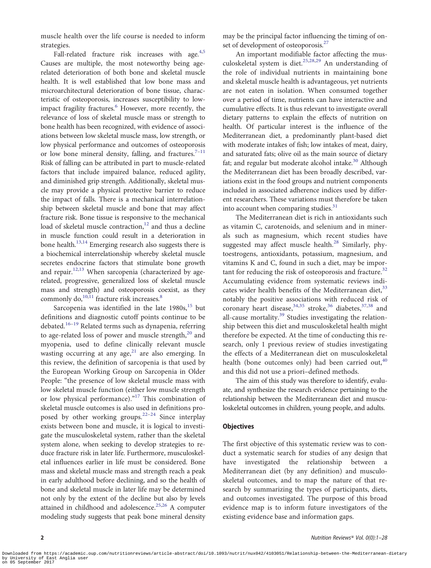muscle health over the life course is needed to inform strategies.

Fall-related fracture risk increases with age.<sup>4,5</sup> Causes are multiple, the most noteworthy being agerelated deterioration of both bone and skeletal muscle health. It is well established that low bone mass and microarchitectural deterioration of bone tissue, characteristic of osteoporosis, increases susceptibility to lowimpact fragility fractures.<sup>6</sup> However, more recently, the relevance of loss of skeletal muscle mass or strength to bone health has been recognized, with evidence of associations between low skeletal muscle mass, low strength, or low physical performance and outcomes of osteoporosis or low bone mineral density, falling, and fractures. $7-11$  $7-11$ Risk of falling can be attributed in part to muscle-related factors that include impaired balance, reduced agility, and diminished grip strength. Additionally, skeletal muscle may provide a physical protective barrier to reduce the impact of falls. There is a mechanical interrelationship between skeletal muscle and bone that may affect fracture risk. Bone tissue is responsive to the mechanical load of skeletal muscle contraction, $12$  and thus a decline in muscle function could result in a deterioration in bone health.<sup>[13,14](#page-26-0)</sup> Emerging research also suggests there is a biochemical interrelationship whereby skeletal muscle secretes endocrine factors that stimulate bone growth and repair. $12,13$  $12,13$  When sarcopenia (characterized by agerelated, progressive, generalized loss of skeletal muscle mass and strength) and osteoporosis coexist, as they commonly do, $^{10,11}$  $^{10,11}$  $^{10,11}$  fracture risk increases. $^{8}$ 

Sarcopenia was identified in the late  $1980s$ ,  $^{15}$  $^{15}$  $^{15}$  but definitions and diagnostic cutoff points continue to be debated.[16–19](#page-26-0) Related terms such as dynapenia, referring to age-related loss of power and muscle strength, $^{20}$  $^{20}$  $^{20}$  and myopenia, used to define clinically relevant muscle wasting occurring at any age, $^{21}$  $^{21}$  $^{21}$  are also emerging. In this review, the definition of sarcopenia is that used by the European Working Group on Sarcopenia in Older People: "the presence of low skeletal muscle mass with low skeletal muscle function (either low muscle strength or low physical performance)."<sup>[17](#page-26-0)</sup> This combination of skeletal muscle outcomes is also used in definitions proposed by other working groups.<sup>22-24</sup> Since interplay exists between bone and muscle, it is logical to investigate the musculoskeletal system, rather than the skeletal system alone, when seeking to develop strategies to reduce fracture risk in later life. Furthermore, musculoskeletal influences earlier in life must be considered. Bone mass and skeletal muscle mass and strength reach a peak in early adulthood before declining, and so the health of bone and skeletal muscle in later life may be determined not only by the extent of the decline but also by levels attained in childhood and adolescence.<sup>[25,26](#page-26-0)</sup> A computer modeling study suggests that peak bone mineral density

may be the principal factor influencing the timing of on-set of development of osteoporosis.<sup>[27](#page-26-0)</sup>

An important modifiable factor affecting the musculoskeletal system is diet.[25,28,29](#page-26-0) An understanding of the role of individual nutrients in maintaining bone and skeletal muscle health is advantageous, yet nutrients are not eaten in isolation. When consumed together over a period of time, nutrients can have interactive and cumulative effects. It is thus relevant to investigate overall dietary patterns to explain the effects of nutrition on health. Of particular interest is the influence of the Mediterranean diet, a predominantly plant-based diet with moderate intakes of fish; low intakes of meat, dairy, and saturated fats; olive oil as the main source of dietary fat; and regular but moderate alcohol intake. $30$  Although the Mediterranean diet has been broadly described, variations exist in the food groups and nutrient components included in associated adherence indices used by different researchers. These variations must therefore be taken into account when comparing studies.<sup>31</sup>

The Mediterranean diet is rich in antioxidants such as vitamin C, carotenoids, and selenium and in minerals such as magnesium, which recent studies have suggested may affect muscle health.<sup>[28](#page-26-0)</sup> Similarly, phytoestrogens, antioxidants, potassium, magnesium, and vitamins K and C, found in such a diet, may be impor-tant for reducing the risk of osteoporosis and fracture.<sup>[32](#page-26-0)</sup> Accumulating evidence from systematic reviews indi-cates wider health benefits of the Mediterranean diet.<sup>[33](#page-26-0)</sup> notably the positive associations with reduced risk of coronary heart disease,  $34,35$  stroke,  $36$  diabetes,  $37,38$  $37,38$  and all-cause mortality.<sup>[39](#page-26-0)</sup> Studies investigating the relationship between this diet and musculoskeletal health might therefore be expected. At the time of conducting this research, only 1 previous review of studies investigating the effects of a Mediterranean diet on musculoskeletal health (bone outcomes only) had been carried out,<sup>[40](#page-26-0)</sup> and this did not use a priori–defined methods.

The aim of this study was therefore to identify, evaluate, and synthesize the research evidence pertaining to the relationship between the Mediterranean diet and musculoskeletal outcomes in children, young people, and adults.

# **Objectives**

The first objective of this systematic review was to conduct a systematic search for studies of any design that have investigated the relationship between a Mediterranean diet (by any definition) and musculoskeletal outcomes, and to map the nature of that research by summarizing the types of participants, diets, and outcomes investigated. The purpose of this broad evidence map is to inform future investigators of the existing evidence base and information gaps.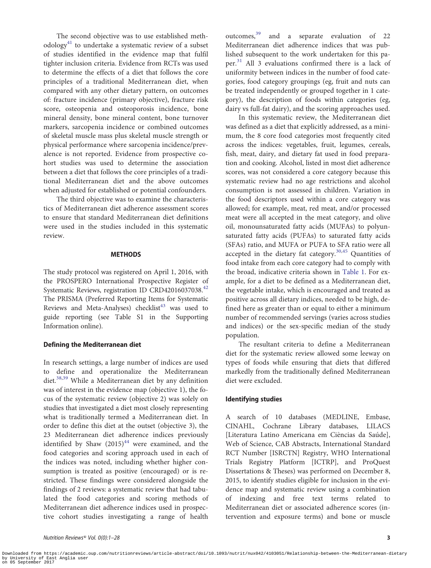The second objective was to use established methodology<sup>41</sup> to undertake a systematic review of a subset of studies identified in the evidence map that fulfil tighter inclusion criteria. Evidence from RCTs was used to determine the effects of a diet that follows the core principles of a traditional Mediterranean diet, when compared with any other dietary pattern, on outcomes of: fracture incidence (primary objective), fracture risk score, osteopenia and osteoporosis incidence, bone mineral density, bone mineral content, bone turnover markers, sarcopenia incidence or combined outcomes of skeletal muscle mass plus skeletal muscle strength or physical performance where sarcopenia incidence/prevalence is not reported. Evidence from prospective cohort studies was used to determine the association between a diet that follows the core principles of a traditional Mediterranean diet and the above outcomes when adjusted for established or potential confounders.

The third objective was to examine the characteristics of Mediterranean diet adherence assessment scores to ensure that standard Mediterranean diet definitions were used in the studies included in this systematic review.

### **METHODS**

The study protocol was registered on April 1, 2016, with the PROSPERO International Prospective Register of Systematic Reviews, registration ID CRD42016037038.<sup>42</sup> The PRISMA (Preferred Reporting Items for Systematic Reviews and Meta-Analyses) checklist<sup>43</sup> was used to guide reporting (see Table S1 in the Supporting Information online).

# Defining the Mediterranean diet

In research settings, a large number of indices are used to define and operationalize the Mediterranean diet.<sup>[38,39](#page-26-0)</sup> While a Mediterranean diet by any definition was of interest in the evidence map (objective 1), the focus of the systematic review (objective 2) was solely on studies that investigated a diet most closely representing what is traditionally termed a Mediterranean diet. In order to define this diet at the outset (objective 3), the 23 Mediterranean diet adherence indices previously identified by Shaw  $(2015)^{44}$  $(2015)^{44}$  $(2015)^{44}$  were examined, and the food categories and scoring approach used in each of the indices was noted, including whether higher consumption is treated as positive (encouraged) or is restricted. These findings were considered alongside the findings of 2 reviews: a systematic review that had tabulated the food categories and scoring methods of Mediterranean diet adherence indices used in prospective cohort studies investigating a range of health outcomes,<sup>[39](#page-26-0)</sup> and a separate evaluation of 22 Mediterranean diet adherence indices that was published subsequent to the work undertaken for this pa-per.<sup>[31](#page-26-0)</sup> All 3 evaluations confirmed there is a lack of uniformity between indices in the number of food categories, food category groupings (eg, fruit and nuts can be treated independently or grouped together in 1 category), the description of foods within categories (eg, dairy vs full-fat dairy), and the scoring approaches used.

In this systematic review, the Mediterranean diet was defined as a diet that explicitly addressed, as a minimum, the 8 core food categories most frequently cited across the indices: vegetables, fruit, legumes, cereals, fish, meat, dairy, and dietary fat used in food preparation and cooking. Alcohol, listed in most diet adherence scores, was not considered a core category because this systematic review had no age restrictions and alcohol consumption is not assessed in children. Variation in the food descriptors used within a core category was allowed; for example, meat, red meat, and/or processed meat were all accepted in the meat category, and olive oil, monounsaturated fatty acids (MUFAs) to polyunsaturated fatty acids (PUFAs) to saturated fatty acids (SFAs) ratio, and MUFA or PUFA to SFA ratio were all accepted in the dietary fat category.<sup>30,[45](#page-26-0)</sup> Quantities of food intake from each core category had to comply with the broad, indicative criteria shown in [Table 1](#page-3-0). For example, for a diet to be defined as a Mediterranean diet, the vegetable intake, which is encouraged and treated as positive across all dietary indices, needed to be high, defined here as greater than or equal to either a minimum number of recommended servings (varies across studies and indices) or the sex-specific median of the study population.

The resultant criteria to define a Mediterranean diet for the systematic review allowed some leeway on types of foods while ensuring that diets that differed markedly from the traditionally defined Mediterranean diet were excluded.

# Identifying studies

A search of 10 databases (MEDLINE, Embase, CINAHL, Cochrane Library databases, LILACS [Literatura Latino Americana em Ciências da Saúde], Web of Science, CAB Abstracts, International Standard RCT Number [ISRCTN] Registry, WHO International Trials Registry Platform [ICTRP], and ProQuest Dissertations & Theses) was performed on December 8, 2015, to identify studies eligible for inclusion in the evidence map and systematic review using a combination of indexing and free text terms related to Mediterranean diet or associated adherence scores (intervention and exposure terms) and bone or muscle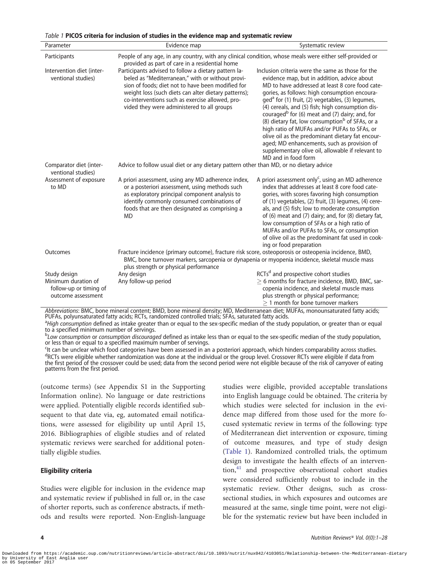<span id="page-3-0"></span>

| Table 1 PICOS criteria for inclusion of studies in the evidence map and systematic review |  |
|-------------------------------------------------------------------------------------------|--|
|-------------------------------------------------------------------------------------------|--|

| Parameter                                                           | Evidence map                                                                                                                                                                                                                                                                                                           | Systematic review                                                                                                                                                                                                                                                                                                                                                                                                                                                                                                                                                                                                                                                                             |
|---------------------------------------------------------------------|------------------------------------------------------------------------------------------------------------------------------------------------------------------------------------------------------------------------------------------------------------------------------------------------------------------------|-----------------------------------------------------------------------------------------------------------------------------------------------------------------------------------------------------------------------------------------------------------------------------------------------------------------------------------------------------------------------------------------------------------------------------------------------------------------------------------------------------------------------------------------------------------------------------------------------------------------------------------------------------------------------------------------------|
| Participants                                                        | People of any age, in any country, with any clinical condition, whose meals were either self-provided or<br>provided as part of care in a residential home                                                                                                                                                             |                                                                                                                                                                                                                                                                                                                                                                                                                                                                                                                                                                                                                                                                                               |
| Intervention diet (inter-<br>ventional studies)                     | Participants advised to follow a dietary pattern la-<br>beled as "Mediterranean," with or without provi-<br>sion of foods; diet not to have been modified for<br>weight loss (such diets can alter dietary patterns);<br>co-interventions such as exercise allowed, pro-<br>vided they were administered to all groups | Inclusion criteria were the same as those for the<br>evidence map, but in addition, advice about<br>MD to have addressed at least 8 core food cate-<br>gories, as follows: high consumption encoura-<br>$\gamma$ ged <sup>a</sup> for (1) fruit, (2) vegetables, (3) legumes,<br>(4) cereals, and (5) fish; high consumption dis-<br>couraged <sup>b</sup> for (6) meat and (7) dairy; and, for<br>(8) dietary fat, low consumption <sup>b</sup> of SFAs, or a<br>high ratio of MUFAs and/or PUFAs to SFAs, or<br>olive oil as the predominant dietary fat encour-<br>aged; MD enhancements, such as provision of<br>supplementary olive oil, allowable if relevant to<br>MD and in food form |
| Comparator diet (inter-<br>ventional studies)                       | Advice to follow usual diet or any dietary pattern other than MD, or no dietary advice                                                                                                                                                                                                                                 |                                                                                                                                                                                                                                                                                                                                                                                                                                                                                                                                                                                                                                                                                               |
| Assessment of exposure<br>to MD                                     | A priori assessment, using any MD adherence index,<br>or a posteriori assessment, using methods such<br>as exploratory principal component analysis to<br>identify commonly consumed combinations of<br>foods that are then designated as comprising a<br><b>MD</b>                                                    | A priori assessment only <sup>c</sup> , using an MD adherence<br>index that addresses at least 8 core food cate-<br>gories, with scores favoring high consumption<br>of (1) vegetables, (2) fruit, (3) legumes, (4) cere-<br>als, and (5) fish; low to moderate consumption<br>of (6) meat and (7) dairy; and, for (8) dietary fat,<br>low consumption of SFAs or a high ratio of<br>MUFAs and/or PUFAs to SFAs, or consumption<br>of olive oil as the predominant fat used in cook-<br>ing or food preparation                                                                                                                                                                               |
| Outcomes                                                            | Fracture incidence (primary outcome), fracture risk score, osteoporosis or osteopenia incidence, BMD,<br>BMC, bone turnover markers, sarcopenia or dynapenia or myopenia incidence, skeletal muscle mass<br>plus strength or physical performance                                                                      |                                                                                                                                                                                                                                                                                                                                                                                                                                                                                                                                                                                                                                                                                               |
| Study design                                                        | Any design                                                                                                                                                                                                                                                                                                             | RCTs <sup>d</sup> and prospective cohort studies                                                                                                                                                                                                                                                                                                                                                                                                                                                                                                                                                                                                                                              |
| Minimum duration of<br>follow-up or timing of<br>outcome assessment | Any follow-up period                                                                                                                                                                                                                                                                                                   | $\geq$ 6 months for fracture incidence, BMD, BMC, sar-<br>copenia incidence, and skeletal muscle mass<br>plus strength or physical performance;<br>$>$ 1 month for bone turnover markers                                                                                                                                                                                                                                                                                                                                                                                                                                                                                                      |

*Abbreviations*: BMC, bone mineral content; BMD, bone mineral density; MD, Mediterranean diet; MUFAs, monounsaturated fatty acids;<br>PUFAs, polyunsaturated fatty acids; RCTs, randomized controlled trials; SFAs, saturated fat

<sup>a</sup>High consumption defined as intake greater than or equal to the sex-specific median of the study population, or greater than or equal<br>to a specified minimum number of servings.

<sup>b</sup>Low consumption or consumption discouraged defined as intake less than or equal to the sex-specific median of the study population,<br>or less than or equal to a specified maximum number of servings.

<sup>c</sup>lt can be unclear which food categories have been assessed in an a posteriori approach, which hinders comparability across studies. dRCTs were eligible whether randomization was done at the individual or the group level. Crossover RCTs were eligible if data from the first period of the crossover could be used; data from the second period were not eligible because of the risk of carryover of eating patterns from the first period.

(outcome terms) (see Appendix S1 in the Supporting Information online). No language or date restrictions were applied. Potentially eligible records identified subsequent to that date via, eg, automated email notifications, were assessed for eligibility up until April 15, 2016. Bibliographies of eligible studies and of related systematic reviews were searched for additional potentially eligible studies.

# Eligibility criteria

Studies were eligible for inclusion in the evidence map and systematic review if published in full or, in the case of shorter reports, such as conference abstracts, if methods and results were reported. Non-English-language studies were eligible, provided acceptable translations into English language could be obtained. The criteria by which studies were selected for inclusion in the evidence map differed from those used for the more focused systematic review in terms of the following: type of Mediterranean diet intervention or exposure, timing of outcome measures, and type of study design (Table 1). Randomized controlled trials, the optimum design to investigate the health effects of an interven- $\text{tion}^{41}$  $\text{tion}^{41}$  $\text{tion}^{41}$  and prospective observational cohort studies were considered sufficiently robust to include in the systematic review. Other designs, such as crosssectional studies, in which exposures and outcomes are measured at the same, single time point, were not eligible for the systematic review but have been included in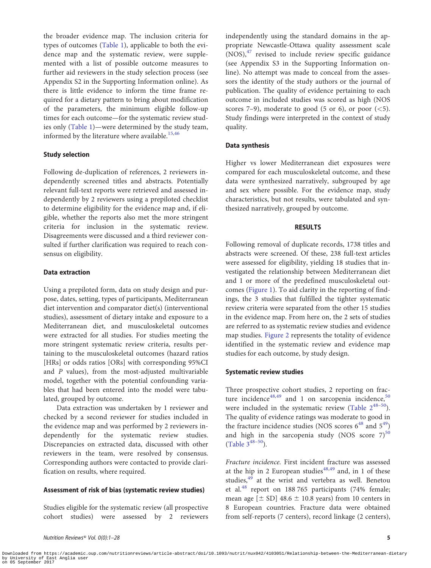the broader evidence map. The inclusion criteria for types of outcomes [\(Table 1\)](#page-3-0), applicable to both the evidence map and the systematic review, were supplemented with a list of possible outcome measures to further aid reviewers in the study selection process (see Appendix S2 in the Supporting Information online). As there is little evidence to inform the time frame required for a dietary pattern to bring about modification of the parameters, the minimum eligible follow-up times for each outcome—for the systematic review studies only ([Table 1\)](#page-3-0)—were determined by the study team, informed by the literature where available.<sup>[15,46](#page-26-0)</sup>

# Study selection

Following de-duplication of references, 2 reviewers independently screened titles and abstracts. Potentially relevant full-text reports were retrieved and assessed independently by 2 reviewers using a prepiloted checklist to determine eligibility for the evidence map and, if eligible, whether the reports also met the more stringent criteria for inclusion in the systematic review. Disagreements were discussed and a third reviewer consulted if further clarification was required to reach consensus on eligibility.

#### Data extraction

Using a prepiloted form, data on study design and purpose, dates, setting, types of participants, Mediterranean diet intervention and comparator diet(s) (interventional studies), assessment of dietary intake and exposure to a Mediterranean diet, and musculoskeletal outcomes were extracted for all studies. For studies meeting the more stringent systematic review criteria, results pertaining to the musculoskeletal outcomes (hazard ratios [HRs] or odds ratios [ORs] with corresponding 95%CI and P values), from the most-adjusted multivariable model, together with the potential confounding variables that had been entered into the model were tabulated, grouped by outcome.

Data extraction was undertaken by 1 reviewer and checked by a second reviewer for studies included in the evidence map and was performed by 2 reviewers independently for the systematic review studies. Discrepancies on extracted data, discussed with other reviewers in the team, were resolved by consensus. Corresponding authors were contacted to provide clarification on results, where required.

#### Assessment of risk of bias (systematic review studies)

Studies eligible for the systematic review (all prospective cohort studies) were assessed by 2 reviewers independently using the standard domains in the appropriate Newcastle-Ottawa quality assessment scale  $(NOS)$ ,  $47$  revised to include review specific guidance (see Appendix S3 in the Supporting Information online). No attempt was made to conceal from the assessors the identity of the study authors or the journal of publication. The quality of evidence pertaining to each outcome in included studies was scored as high (NOS scores 7–9), moderate to good (5 or 6), or poor  $(<5)$ . Study findings were interpreted in the context of study quality.

#### Data synthesis

Higher vs lower Mediterranean diet exposures were compared for each musculoskeletal outcome, and these data were synthesized narratively, subgrouped by age and sex where possible. For the evidence map, study characteristics, but not results, were tabulated and synthesized narratively, grouped by outcome.

#### RESULTS

Following removal of duplicate records, 1738 titles and abstracts were screened. Of these, 238 full-text articles were assessed for eligibility, yielding 18 studies that investigated the relationship between Mediterranean diet and 1 or more of the predefined musculoskeletal outcomes [\(Figure 1\)](#page-5-0). To aid clarity in the reporting of findings, the 3 studies that fulfilled the tighter systematic review criteria were separated from the other 15 studies in the evidence map. From here on, the 2 sets of studies are referred to as systematic review studies and evidence map studies. [Figure 2](#page-6-0) represents the totality of evidence identified in the systematic review and evidence map studies for each outcome, by study design.

#### Systematic review studies

Three prospective cohort studies, 2 reporting on fracture incidence $48,49$  and 1 on sarcopenia incidence,  $50$ were included in the systematic review (Table  $2^{48-50}$  $2^{48-50}$  $2^{48-50}$  $2^{48-50}$  $2^{48-50}$ ). The quality of evidence ratings was moderate to good in the fracture incidence studies (NOS scores  $6^{48}$  $6^{48}$  $6^{48}$  and  $5^{49}$ ) and high in the sarcopenia study (NOS score  $7)^{50}$  $7)^{50}$  $7)^{50}$ (Table  $3^{48-50}$ ).

Fracture incidence. First incident fracture was assessed at the hip in 2 European studies $48,49$  and, in 1 of these studies, $4^{\circ}$  at the wrist and vertebra as well. Benetou et al.<sup>[48](#page-26-0)</sup> report on 188 765 participants (74% female; mean age  $[\pm$  SD] 48.6  $\pm$  10.8 years) from 10 centers in 8 European countries. Fracture data were obtained from self-reports (7 centers), record linkage (2 centers),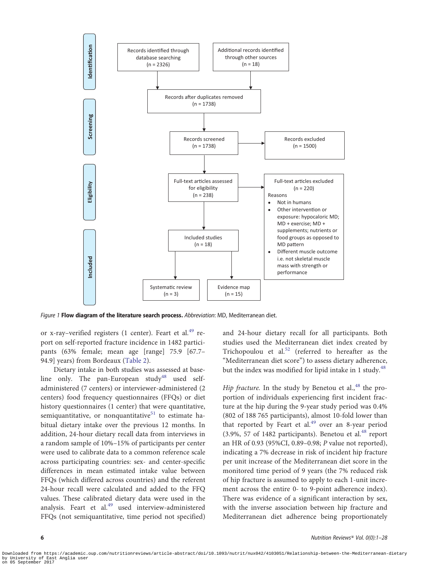<span id="page-5-0"></span>

Figure 1 Flow diagram of the literature search process. Abbreviation: MD, Mediterranean diet.

or x-ray-verified registers (1 center). Feart et al.<sup>[49](#page-26-0)</sup> report on self-reported fracture incidence in 1482 participants (63% female; mean age [range] 75.9 [67.7– 94.9] years) from Bordeaux [\(Table 2](#page-7-0)).

Dietary intake in both studies was assessed at base-line only. The pan-European study<sup>[48](#page-26-0)</sup> used selfadministered (7 centers) or interviewer-administered (2 centers) food frequency questionnaires (FFQs) or diet history questionnaires (1 center) that were quantitative, semiquantitative, or nonquantitative<sup>[51](#page-26-0)</sup> to estimate habitual dietary intake over the previous 12 months. In addition, 24-hour dietary recall data from interviews in a random sample of 10%–15% of participants per center were used to calibrate data to a common reference scale across participating countries: sex- and center-specific differences in mean estimated intake value between FFQs (which differed across countries) and the referent 24-hour recall were calculated and added to the FFQ values. These calibrated dietary data were used in the analysis. Feart et al.<sup>[49](#page-26-0)</sup> used interview-administered FFQs (not semiquantitative, time period not specified)

and 24-hour dietary recall for all participants. Both studies used the Mediterranean diet index created by Trichopoulou et al.<sup>[52](#page-26-0)</sup> (referred to hereafter as the "Mediterranean diet score") to assess dietary adherence, but the index was modified for lipid intake in 1 study.<sup>[48](#page-26-0)</sup>

Hip fracture. In the study by Benetou et al.,  $48$  the proportion of individuals experiencing first incident fracture at the hip during the 9-year study period was 0.4% (802 of 188 765 participants), almost 10-fold lower than that reported by Feart et al. $49$  over an 8-year period (3.9%, 57 of 1[48](#page-26-0)2 participants). Benetou et al. $48$  report an HR of 0.93 (95%CI, 0.89–0.98; P value not reported), indicating a 7% decrease in risk of incident hip fracture per unit increase of the Mediterranean diet score in the monitored time period of 9 years (the 7% reduced risk of hip fracture is assumed to apply to each 1-unit increment across the entire 0- to 9-point adherence index). There was evidence of a significant interaction by sex, with the inverse association between hip fracture and Mediterranean diet adherence being proportionately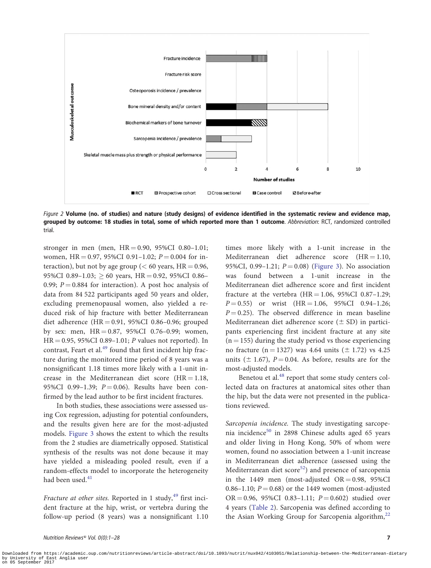<span id="page-6-0"></span>

Figure 2 Volume (no. of studies) and nature (study designs) of evidence identified in the systematic review and evidence map, grouped by outcome: 18 studies in total, some of which reported more than 1 outcome. Abbreviation: RCT, randomized controlled trial.

stronger in men (men,  $HR = 0.90, 95\%CI \t0.80-1.01;$ women, HR = 0.97, 95%CI 0.91-1.02;  $P = 0.004$  for interaction), but not by age group ( $< 60$  years,  $HR = 0.96$ , 95%CI 0.89-1.03;  $\geq 60$  years, HR = 0.92, 95%CI 0.86-0.99;  $P = 0.884$  for interaction). A post hoc analysis of data from 84 522 participants aged 50 years and older, excluding premenopausal women, also yielded a reduced risk of hip fracture with better Mediterranean diet adherence (HR = 0.91, 95%CI 0.86-0.96; grouped by sex: men,  $HR = 0.87$ , 95%CI 0.76-0.99; women,  $HR = 0.95, 95\% CI\ 0.89-1.01; P$  values not reported). In contrast, Feart et al.<sup>[49](#page-26-0)</sup> found that first incident hip fracture during the monitored time period of 8 years was a nonsignificant 1.18 times more likely with a 1-unit increase in the Mediterranean diet score  $(HR = 1.18,$ 95%CI 0.99-1.39;  $P = 0.06$ ). Results have been confirmed by the lead author to be first incident fractures.

In both studies, these associations were assessed using Cox regression, adjusting for potential confounders, and the results given here are for the most-adjusted models. [Figure 3](#page-10-0) shows the extent to which the results from the 2 studies are diametrically opposed. Statistical synthesis of the results was not done because it may have yielded a misleading pooled result, even if a random-effects model to incorporate the heterogeneity had been used.<sup>[41](#page-26-0)</sup>

Fracture at other sites. Reported in 1 study,  $49$  first incident fracture at the hip, wrist, or vertebra during the follow-up period (8 years) was a nonsignificant 1.10 times more likely with a 1-unit increase in the Mediterranean diet adherence score  $(HR = 1.10,$ 95%CI, 0.99–1.21;  $P = 0.08$ ) ([Figure 3\)](#page-10-0). No association was found between a 1-unit increase in the Mediterranean diet adherence score and first incident fracture at the vertebra  $(HR = 1.06, 95\% CI \ 0.87-1.29;$  $P = 0.55$ ) or wrist  $(HR = 1.06, 95\%CI \t 0.94-1.26;$  $P = 0.25$ ). The observed difference in mean baseline Mediterranean diet adherence score  $(\pm SD)$  in participants experiencing first incident fracture at any site  $(n = 155)$  during the study period vs those experiencing no fracture (n = 1327) was 4.64 units ( $\pm$  1.72) vs 4.25 units ( $\pm$  1.67), P = 0.04. As before, results are for the most-adjusted models.

Benetou et al. $48$  report that some study centers collected data on fractures at anatomical sites other than the hip, but the data were not presented in the publications reviewed.

Sarcopenia incidence. The study investigating sarcope-nia incidence<sup>[50](#page-26-0)</sup> in 2898 Chinese adults aged 65 years and older living in Hong Kong, 50% of whom were women, found no association between a 1-unit increase in Mediterranean diet adherence (assessed using the Mediterranean diet score<sup>52</sup>) and presence of sarcopenia in the 1449 men (most-adjusted  $OR = 0.98$ , 95%CI 0.86–1.10;  $P = 0.68$ ) or the 1449 women (most-adjusted OR = 0.96, 95%CI 0.83-1.11;  $P = 0.602$ ) studied over 4 years ([Table 2](#page-7-0)). Sarcopenia was defined according to the Asian Working Group for Sarcopenia algorithm, $^{22}$  $^{22}$  $^{22}$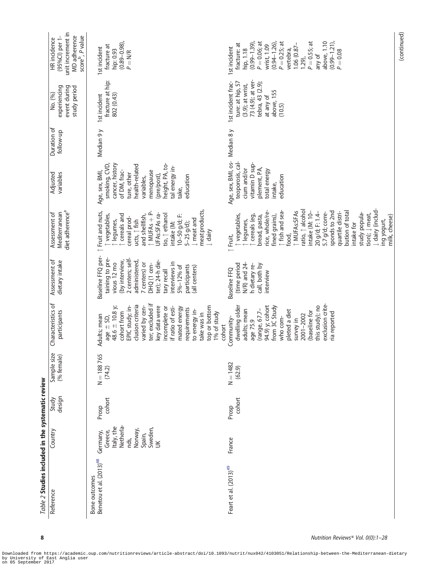<span id="page-7-0"></span>

| ter; excluded if<br>clusion criteria<br>key data were<br>top or bottom<br>EPIC study; in-<br>varied by cen-<br>48.6 $\pm$ 10.8 y;<br>incomplete or<br>if ratio of esti-<br>mated energy<br>requirements<br>to energy in-<br>cohort from<br>take was in<br>Adults; mean<br>age $\pm$ SD,<br>$N = 188765$<br>(74.2)<br>cohort |
|-----------------------------------------------------------------------------------------------------------------------------------------------------------------------------------------------------------------------------------------------------------------------------------------------------------------------------|
| exclusion crite-<br>this study); no<br>94.9) y; cohort<br>dwelling older<br>from 3C Study<br>(range, 67.7-<br>pleted a diet<br>adults; mean<br>(baseline for<br>1% of study<br>ria reported<br>2001-2002<br>Community-<br>who com-<br>survey in<br>age 75.9<br>cohort<br>$N = 1482$<br>(62.9)<br>cohort                     |

**8** Nutrition Reviews<sup>®</sup> Vol. 0(0):1–28

(continued)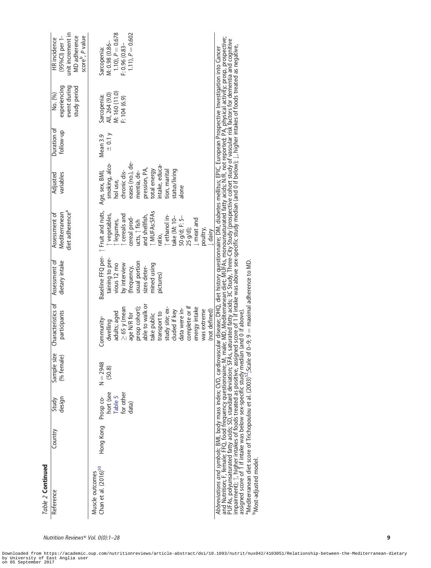| Table 2 Continued                                                                                                                                                                                                                                                                                                                               |                     |                                            |                           |                                                                                                                                                                                                                                                                        |                                                                                                                                                                   |                                                                                                                                                                                                                             |                                                                                                                                                                                               |                          |                                                                |                                                                                                            |
|-------------------------------------------------------------------------------------------------------------------------------------------------------------------------------------------------------------------------------------------------------------------------------------------------------------------------------------------------|---------------------|--------------------------------------------|---------------------------|------------------------------------------------------------------------------------------------------------------------------------------------------------------------------------------------------------------------------------------------------------------------|-------------------------------------------------------------------------------------------------------------------------------------------------------------------|-----------------------------------------------------------------------------------------------------------------------------------------------------------------------------------------------------------------------------|-----------------------------------------------------------------------------------------------------------------------------------------------------------------------------------------------|--------------------------|----------------------------------------------------------------|------------------------------------------------------------------------------------------------------------|
| Reference                                                                                                                                                                                                                                                                                                                                       | Country             | design<br>Study                            | Sample size<br>(% female) | Characteristics of<br>participants                                                                                                                                                                                                                                     | Assessment of<br>dietary intake                                                                                                                                   | diet adherence <sup>a</sup><br>Mediterranean<br>Assessment of                                                                                                                                                               | variables<br>Adjusted                                                                                                                                                                         | Duration of<br>follow-up | event during<br>experiencing<br>study period<br>No. (%)        | unit increment in<br>(95%Cl) per 1-<br><b>MD</b> adherence<br>score <sup>p</sup> , P value<br>HR incidence |
| Chan et al. (2016) <sup>50</sup><br>Muscle outcomes                                                                                                                                                                                                                                                                                             | Hong Kong Prosp co- | hort (see<br>for other<br>Table 5<br>data) | $N = 2948$<br>(50.8)      | able to walk or<br>prosp cohort);<br>complete or if<br>$\geq 65$ y (mean<br>study site; ex-<br>energy intake<br>data were in-<br>cluded if key<br>was extreme<br>(not defined)<br>adults; aged<br>transport to<br>age N/R for<br>take public<br>Community-<br>dwelling | Baseline FFQ per- 1 Fruit and nuts,<br>taining to pre-<br>usual portion<br>by interview<br>vious 12 mo<br>mined using<br>(frequency,<br>sizes deter-<br>pictures) | T MUFAs:SFAs<br>cereals and<br>vegetables,<br>tethanol in-<br>and shellfish,<br>take (M: 10-<br>50 g/d; F: 5-<br>cereal prod-<br>meat and<br>legumes,<br>ucts, $\uparrow$ fish<br>25 g/d);<br>poultry,<br>  dairy<br>ratio, | eases (no.), de-<br>smoking, alco-<br>intake, educa-<br>pression, PA,<br>total energy<br>status/living<br>tion, marital<br>chronic dis-<br>mentia, de-<br>Age, sex, BMI,<br>hol use,<br>alone | $+0.1y$<br>Mean 3.9      | M: 160 (11.0)<br>All, 264 (9.0)<br>Sarcopenia:<br>F: 104 (6.9) | 1.11), $P = 0.602$<br>$1.10$ , $P = 0.678$<br>M: 0.98 (0.86-<br>$F: 0.96 (0.83 -$<br>Sarcopenia:           |
| A <i>bbreviations and symbols</i> : BMI, body mass index; CVD, cardiovascular disease; DHQ, diet history questionnaire; DM, diabetes mellitus; EPIC, European Prospective Investigation into Cancer<br>and Nutrition; F, female; FFQ, fo<br>"Mediterranean diet score of Trichopoulou et al. (2003) <sup>52</sup> ;Scale<br>Most-adjusted model |                     |                                            |                           | of $0-9$ ; $9 =$ maximal adherence to MD                                                                                                                                                                                                                               |                                                                                                                                                                   |                                                                                                                                                                                                                             |                                                                                                                                                                                               |                          |                                                                |                                                                                                            |

 $\mu$  Nutrition Reviews® Vol. 0(0):1–28 9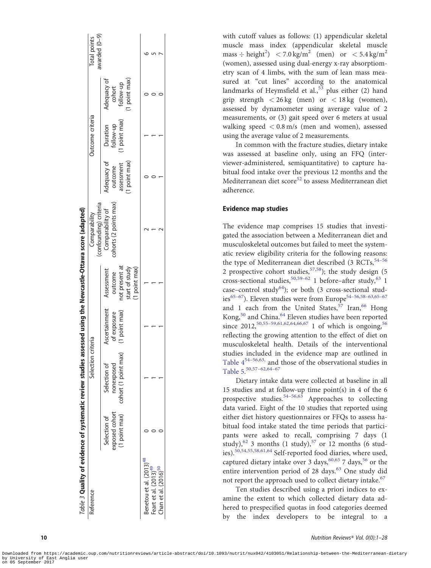<span id="page-9-0"></span>

| Selection                                                                                             | criteria                                     |                                                           | confounding) criteria<br>Comparability     |                                                      | Outcome criteria                       |                                                    | $w$ arded $(0-9)$<br>Total points |
|-------------------------------------------------------------------------------------------------------|----------------------------------------------|-----------------------------------------------------------|--------------------------------------------|------------------------------------------------------|----------------------------------------|----------------------------------------------------|-----------------------------------|
| cohort (1 point max)<br>Selection of<br>nonexposed<br>(1 point max)<br>exposed cohort<br>Selection of | Ascertainment<br>1 point max)<br>of exposure | not present at<br>start of study<br>Assessment<br>outcome | cohorts (2 points max)<br>Comparability of | assessment<br>Adequacy of<br>1 point max)<br>outcome | (1 point max)<br>Duration<br>follow-up | 1 point max)<br>Adequacy of<br>cohort<br>follow-up |                                   |
|                                                                                                       |                                              |                                                           |                                            |                                                      |                                        |                                                    |                                   |
|                                                                                                       |                                              |                                                           | (1 point max)                              |                                                      |                                        |                                                    |                                   |

with cutoff values as follows: (1) appendicular skeletal muscle mass index (appendicular skeletal muscle mass  $\div$  height<sup>[2](#page-25-0)</sup>)  $\langle 7.0 \text{ kg/m}^2 \text{ (men)} \text{ or } \langle 5.4 \text{ kg/m}^2 \rangle$ (women), assessed using dual-energy x-ray absorptiometry scan of 4 limbs, with the sum of lean mass measured at "cut lines" according to the anatomical landmarks of Heymsfield et al., $5\overline{3}$  plus either (2) hand grip strength  $\langle 26 \text{ kg} \pmod{20}$  or  $\langle 18 \text{ kg} \pmod{20}$ , assessed by dynamometer using average value of 2 measurements, or (3) gait speed over 6 meters at usual walking speed  $< 0.8$  m/s (men and women), assessed using the average value of 2 measurements.

In common with the fracture studies, dietary intake was assessed at baseline only, using an FFQ (interviewer-administered, semiquantitative) to capture habitual food intake over the previous 12 months and the Mediterranean diet score<sup>[52](#page-26-0)</sup> to assess Mediterranean diet adherence.

# Evidence map studies

The evidence map comprises 15 studies that investigated the association between a Mediterranean diet and musculoskeletal outcomes but failed to meet the systematic review eligibility criteria for the following reasons: the type of Mediterranean diet described (3 RCTs, 54-56 2 prospective cohort studies,  $57,58$  $57,58$ ); the study design (5 cross-sectional studies,  $50,59-62$  $50,59-62$  1 before–after study,  $63$  1 case–control study<sup>[64](#page-27-0)</sup>); or both (3 cross-sectional stud-ies<sup>65–67</sup>). Eleven studies were from Europe<sup>54–56,58–[63,65–67](#page-27-0)</sup> and 1 each from the United States,  $\frac{57}{7}$  $\frac{57}{7}$  $\frac{57}{7}$  Iran, <sup>[66](#page-27-0)</sup> Hong Kong,<sup>[50](#page-26-0)</sup> and China.<sup>[64](#page-27-0)</sup> Eleven studies have been reported since 2012,<sup>[50,55](#page-26-0)[–59,61,62,64](#page-27-0),[66](#page-27-0),[67](#page-27-0)</sup> 1 of which is ongoing,<sup>[56](#page-26-0)</sup> reflecting the growing attention to the effect of diet on musculoskeletal health. Details of the interventional studies included in the evidence map are outlined in Table  $4^{54-56,63}$  $4^{54-56,63}$  $4^{54-56,63}$ , and those of the observational studies in [Table 5.](#page-15-0) [50](#page-26-0),[57](#page-26-0)–[62](#page-27-0),[64](#page-27-0)–[67](#page-27-0)

Dietary intake data were collected at baseline in all 15 studies and at follow-up time point(s) in 4 of the 6 prospective studies.<sup>54-56[,63](#page-27-0)</sup> Approaches to collecting data varied. Eight of the 10 studies that reported using either diet history questionnaires or FFQs to assess habitual food intake stated the time periods that participants were asked to recall, comprising 7 days (1 study),  $62$  3 months (1 study),  $57$  or 12 months (6 studies).[50,54,55,58](#page-26-0),[61](#page-27-0),[64](#page-27-0) Self-reported food diaries, where used, captured dietary intake over 3 days,  $60,65$  7 days,  $56$  or the entire intervention period of 28 days.<sup>[63](#page-27-0)</sup> One study did not report the approach used to collect dietary intake.<sup>[67](#page-27-0)</sup>

Ten studies described using a priori indices to examine the extent to which collected dietary data adhered to prespecified quotas in food categories deemed by the index developers to be integral to a

Downloaded from https://academic.oup.com/nutritionreviews/article-abstract/doi/10.1093/nutrit/nux042/4103051/Relationship-between-the-Mediterranean-dietary by University of East Anglia user on 05 September 2017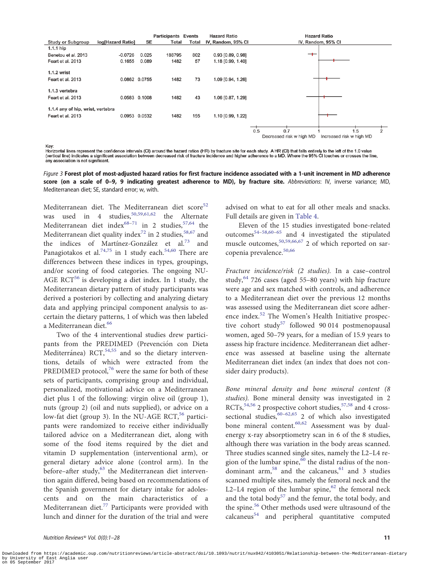<span id="page-10-0"></span>

|                                                        |                   |               | <b>Participants Events</b> |       | <b>Hazard Ratio</b> | <b>Hazard Ratio</b>                                                                         |
|--------------------------------------------------------|-------------------|---------------|----------------------------|-------|---------------------|---------------------------------------------------------------------------------------------|
| <b>Study or Subgroup</b>                               | log[Hazard Ratio] | SE            | Total                      | Total | IV, Random, 95% CI  | IV, Random, 95% CI                                                                          |
| $1.1.1$ hip                                            |                   |               |                            |       |                     |                                                                                             |
| Benetou et al. 2013                                    | $-0.0726$         | 0.025         | 188795                     | 802   | 0.93 [0.89, 0.98]   | $^{+}$                                                                                      |
| Feart et al. 2013                                      | 0.1655            | 0.089         | 1482                       | 57    | 1.18 [0.99, 1.40]   |                                                                                             |
| 1.1.2 wrist<br>Feart et al. 2013                       |                   | 0.0862 0.0755 | 1482                       | 73    | 1.09 [0.94, 1.26]   |                                                                                             |
| 1.1.3 vertebra<br>Feart et al. 2013                    |                   | 0.0583 0.1008 | 1482                       | 43    | 1.06 [0.87, 1.29]   |                                                                                             |
| 1.1.4 any of hip, wrist, vertebra<br>Feart et al. 2013 |                   | 0.0953 0.0532 | 1482                       | 155   | 1.10 [0.99, 1.22]   |                                                                                             |
|                                                        |                   |               |                            |       |                     | 0.5<br>0.7<br>$\overline{2}$<br>1.5<br>Decreased risk w high MD<br>Increased risk w high MD |

Key:<br>Horizontal lines represent the confidence intervals (CI) around the hazard ratios (HR) by fracture site for each study. A HR (CI) that falls entirely to the left of the 1.0 value<br>(vertical line) indicates a significan any association is not significant.

Figure 3 Forest plot of most-adjusted hazard ratios for first fracture incidence associated with a 1-unit increment in MD adherence score (on a scale of 0-9, 9 indicating greatest adherence to MD), by fracture site. Abbreviations: IV, inverse variance; MD, Mediterranean diet; SE, standard error; w, with.

Mediterranean diet. The Mediterranean diet score<sup>[52](#page-26-0)</sup> was used in 4 studies, [50,](#page-26-0)[59,61,62](#page-27-0) the Alternate Mediterranean diet index $68-71$  $68-71$  $68-71$  in 2 studies,  $57,64$  $57,64$  the Mediterranean diet quality index $^{72}$  $^{72}$  $^{72}$  in 2 studies,  $^{58,67}$  $^{58,67}$  $^{58,67}$  $^{58,67}$  and the indices of Martínez-González et al.<sup>73</sup> and Panagiotakos et al.<sup>[74,75](#page-27-0)</sup> in 1 study each.<sup>[54,](#page-26-0)[60](#page-27-0)</sup> There are differences between these indices in types, groupings, and/or scoring of food categories. The ongoing NU-AGE RCT $56$  is developing a diet index. In 1 study, the Mediterranean dietary pattern of study participants was derived a posteriori by collecting and analyzing dietary data and applying principal component analysis to ascertain the dietary patterns, 1 of which was then labeled a Mediterranean diet.<sup>[66](#page-27-0)</sup>

Two of the 4 interventional studies drew participants from the PREDIMED (Prevención con Dieta Mediterránea) RCT,<sup>54,55</sup> and so the dietary interventions, details of which were extracted from the PREDIMED protocol,<sup>[76](#page-27-0)</sup> were the same for both of these sets of participants, comprising group and individual, personalized, motivational advice on a Mediterranean diet plus 1 of the following: virgin olive oil (group 1), nuts (group 2) (oil and nuts supplied), or advice on a low-fat diet (group 3). In the NU-AGE RCT,  $56$  participants were randomized to receive either individually tailored advice on a Mediterranean diet, along with some of the food items required by the diet and vitamin D supplementation (interventional arm), or general dietary advice alone (control arm). In the before–after study, $63$  the Mediterranean diet intervention again differed, being based on recommendations of the Spanish government for dietary intake for adolescents and on the main characteristics of a Mediterranean diet.<sup>[77](#page-27-0)</sup> Participants were provided with lunch and dinner for the duration of the trial and were

advised on what to eat for all other meals and snacks. Full details are given in [Table 4](#page-11-0).

Eleven of the 15 studies investigated bone-related outcomes<sup>54-58,60-65</sup> and 4 investigated the stipulated muscle outcomes,<sup>[50](#page-26-0)[,59](#page-27-0),[66](#page-27-0),[67](#page-27-0)</sup> 2 of which reported on sar-copenia prevalence.<sup>50[,66](#page-27-0)</sup>

Fracture incidence/risk (2 studies). In a case–control study,  $64$  726 cases (aged 55–80 years) with hip fracture were age and sex matched with controls, and adherence to a Mediterranean diet over the previous 12 months was assessed using the Mediterranean diet score adherence index.[52](#page-26-0) The Women's Health Initiative prospec-tive cohort study<sup>[57](#page-26-0)</sup> followed 90 014 postmenopausal women, aged 50–79 years, for a median of 15.9 years to assess hip fracture incidence. Mediterranean diet adherence was assessed at baseline using the alternate Mediterranean diet index (an index that does not consider dairy products).

Bone mineral density and bone mineral content (8 studies). Bone mineral density was investigated in 2 RCTs,<sup>[54](#page-26-0),[56](#page-26-0)</sup> 2 prospective cohort studies,<sup>[57](#page-26-0),[58](#page-26-0)</sup> and 4 crosssectional studies,  $60-62,65$  2 of which also investigated bone mineral content.<sup>[60,62](#page-27-0)</sup> Assessment was by dualenergy x-ray absorptiometry scan in 6 of the 8 studies, although there was variation in the body areas scanned. Three studies scanned single sites, namely the L2–L4 region of the lumbar spine, $60$  the distal radius of the nondominant arm, $58$  and the calcaneus, $61$  and 3 studies scanned multiple sites, namely the femoral neck and the L2–L4 region of the lumbar spine, $62$  the femoral neck and the total body<sup>[57](#page-26-0)</sup> and the femur, the total body, and the spine.<sup>[56](#page-26-0)</sup> Other methods used were ultrasound of the calcaneus[54](#page-26-0) and peripheral quantitative computed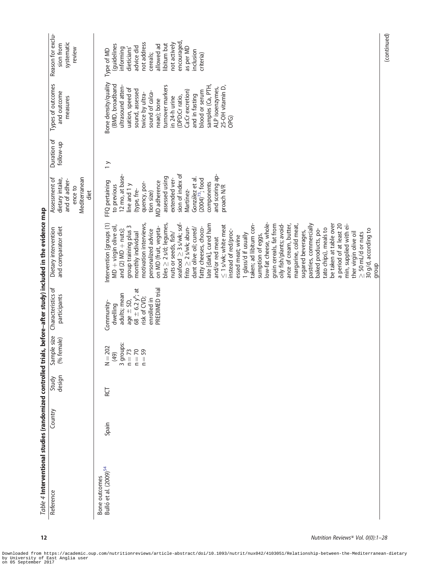<span id="page-11-0"></span>

| $Table 4$ Interventional studies (randomized controlled trials, before-after study) included in the evidence map |         |                 |                                                                         |                                                                                                                                     |                                                                                                                                                                                                                                                                                                                                                                                                                                                                                                                                                                                                                                                                                                                                                                                                                                                                                                                                                                                |                                                                                                                                                                                                                                                                                                    |                          |                                                                                                                                                                                                                                                                                                                                             |                                                                                                                                                                                                  |
|------------------------------------------------------------------------------------------------------------------|---------|-----------------|-------------------------------------------------------------------------|-------------------------------------------------------------------------------------------------------------------------------------|--------------------------------------------------------------------------------------------------------------------------------------------------------------------------------------------------------------------------------------------------------------------------------------------------------------------------------------------------------------------------------------------------------------------------------------------------------------------------------------------------------------------------------------------------------------------------------------------------------------------------------------------------------------------------------------------------------------------------------------------------------------------------------------------------------------------------------------------------------------------------------------------------------------------------------------------------------------------------------|----------------------------------------------------------------------------------------------------------------------------------------------------------------------------------------------------------------------------------------------------------------------------------------------------|--------------------------|---------------------------------------------------------------------------------------------------------------------------------------------------------------------------------------------------------------------------------------------------------------------------------------------------------------------------------------------|--------------------------------------------------------------------------------------------------------------------------------------------------------------------------------------------------|
| Reference                                                                                                        | Country | Study<br>design | Sample size<br>(% female)                                               | Characteristics of<br>participants                                                                                                  | and comparator diet<br>Dietary intervention                                                                                                                                                                                                                                                                                                                                                                                                                                                                                                                                                                                                                                                                                                                                                                                                                                                                                                                                    | Mediterranean<br>Assessment of<br>dietary intake,<br>and of adher-<br>ence to<br>diet                                                                                                                                                                                                              | Duration of<br>follow-up | Types of outcomes<br>and outcome<br>measures                                                                                                                                                                                                                                                                                                | Reason for exclu-<br>systematic<br>sion from<br>review                                                                                                                                           |
| Bulló et al. (2009) <sup>54</sup><br><b>Bone outcomes</b>                                                        | Spain   | RCT             | $3$ groups:<br>$n = 73$<br>$= 202$<br>$n = 70$<br>$n = 59$<br>(6t)<br>z | PREDIMED trial<br>$68 \pm 6.2$ $y^2$ ; at<br>adults; mean<br>risk of CVD;<br>enrolled in<br>age $\pm$ SD,<br>Community-<br>dwelling | low-fat cheese, whole-<br>seafood $\geq$ 3 s/wk; sof-<br>motivation interviews,<br>be taken at table over<br>bles $\geq$ 2 s/d; legumes,<br>late [dark], cured ham<br>taken; ad libitum con-<br>grain cereals, fat from<br>pastries, commercially<br>a period of at least 20<br>Intervention [groups (1)<br>oily fish/plants; avoid-<br>ance of cream, butter,<br>min, supplied with ei-<br>$\leq$ 1 s/wk; white meat<br>margarine, cold meat,<br>MD + virgin olive oil,<br>group training plus 3<br>frito $\geq 2$ s/wk; abun-<br>on MD (fruit, vegeta-<br>fatty cheeses, choco-<br>tato chips), meals to<br>dant olive oil; cured/<br>and $(2)$ MD $+$ nuts]:<br>instead of red/proc-<br>baked products, po-<br>30 g/d, according to<br>personalized advice<br>nuts or seeds, fish/<br>sugared beverages,<br>monthly individual<br>ther virgin olive oil<br>$>$ 50 mL/d or nuts<br>1 glass/d if usually<br>sumption of eggs,<br>essed meat; wine<br>and/or red meat<br>group | sion of index of<br>and scoring ap-<br>12 mo, at base-<br>assessed using<br>González et al.<br>$(2004)^{73}$ ; food<br>extended ver-<br>FFQ pertaining<br><b>MD</b> adherence<br>components<br>quency, por-<br>line and 1 y<br>to previous<br>proach N/R<br>(type, fre-<br>Martínez-<br>tion size) | $\geq$                   | Bone density/quality<br>(BMD, broadband<br>turnover markers<br>samples (Ca, PTH,<br>ultrasound atten-<br>25-OH vitamin D,<br>ALP isoenzymes,<br>uation, speed of<br>sound, assessed<br>Ca:Cr excretion)<br>blood or serum<br>sound of calca-<br>twice by ultra-<br>and in fasting<br>(DPD:Cr ratio,<br>in 24-h urine<br>neae); bone<br>OPG) | encouraged<br>not address<br>not actively<br>(guidelines<br>libitum but<br>allowed ad<br>advice did<br>as per MD<br>informing<br>dieticians'<br>Type of MD<br>inclusion<br>cereals;<br>criteria) |
|                                                                                                                  |         |                 |                                                                         |                                                                                                                                     |                                                                                                                                                                                                                                                                                                                                                                                                                                                                                                                                                                                                                                                                                                                                                                                                                                                                                                                                                                                |                                                                                                                                                                                                                                                                                                    |                          |                                                                                                                                                                                                                                                                                                                                             |                                                                                                                                                                                                  |

**12** Nutrition Reviews<sup>®</sup> Vol.  $0(0):1-28$ 

(continued)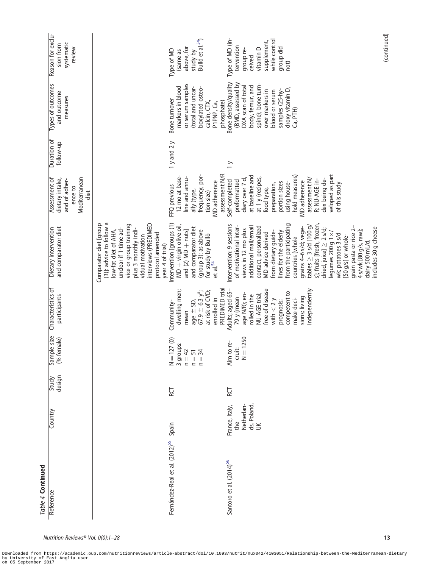|     |                                                                |                                                                                                                                                                                                                        | and comparator diet                                                                                                                                                                                                                                                                                                                                                                                                                                                                                                                        | Mediterranean<br>dietary intake,<br>and of adher-<br>ence to<br>diet                                                                                                                                                                                                                                      | follow-up       | Types of outcomes<br>and outcome<br>measures                                                                                                                                                                   | Reason for exclu-<br>systematic<br>sion from<br>review |
|-----|----------------------------------------------------------------|------------------------------------------------------------------------------------------------------------------------------------------------------------------------------------------------------------------------|--------------------------------------------------------------------------------------------------------------------------------------------------------------------------------------------------------------------------------------------------------------------------------------------------------------------------------------------------------------------------------------------------------------------------------------------------------------------------------------------------------------------------------------------|-----------------------------------------------------------------------------------------------------------------------------------------------------------------------------------------------------------------------------------------------------------------------------------------------------------|-----------------|----------------------------------------------------------------------------------------------------------------------------------------------------------------------------------------------------------------|--------------------------------------------------------|
|     |                                                                |                                                                                                                                                                                                                        | (3)]: advice to follow a<br>Comparator diet [group<br>interviews (PREDIMED<br>vice or group training<br>unclear if 1-time ad-<br>plus 3 monthly indi-<br>low-fat diet of AHA,<br>protocol amended<br>vidual motivation<br>year 4 of trial)                                                                                                                                                                                                                                                                                                 |                                                                                                                                                                                                                                                                                                           |                 |                                                                                                                                                                                                                |                                                        |
| RСТ | $N = 127 (0)$<br>3 groups:<br>$n = 42$<br>$n = 51$<br>$n = 34$ | dwelling men;<br>at risk of CVD;<br>$67.9 \pm 6.3$ y <sup>a</sup> ;<br>enrolled in<br>age $\pm$ SD,<br>Community-<br>mean                                                                                              | Intervention [groups (1)<br>MD + virgin olive oil,<br>and comparator diet<br>and $(2)$ MD $+$ nuts]<br>(group 3): as above<br>for study by Bulló<br>et al. <sup>54</sup>                                                                                                                                                                                                                                                                                                                                                                   | frequency, por-<br>12 mo at base-<br>line and annu-<br><b>MD</b> adherence<br>FFQ previous<br>ally (type,<br>tion size)                                                                                                                                                                                   | $1 y$ and $2 y$ | or serum samples<br>markers in blood<br>total and uncar-<br>boxylated osteo-<br>Bone turnover<br>calcin, CTX,<br>P1PNP, Ca,                                                                                    | Type of MD                                             |
| RCT | $N = 1250$<br>Aim to re-<br><b>cruit:</b>                      | PREDIMED trial<br>free of disease<br>independently<br>Adults; aged 65-<br>competent to<br>age N/R); en-<br>NU-AGE trial;<br>rolled in the<br>79 y (mean<br>sions; living<br>make deci-<br>with $<$ 2 $y$<br>prognosis; | from the participating<br>s]; fruits [fresh, frozen,<br>Intervention: 9 sessions<br>tables $\geq$ 3 s/d [100 g/<br>additional mail/email<br>of motivational inter-<br>contact, personalized<br>grain pasta or rice 2-<br>grains 4-6 s/d; vege-<br>includes 30 g cheese<br>dried, juice] $\geq$ 2 s/d;<br>views in 12 mo plus<br>4 s/wk [80 g/s, raw];<br>legumes 200 g $1 \times /$<br>wk; potatoes 3 s/d<br>from dietary guide-<br>ines for the elderly<br>MD advice derived<br>[50 g/s] or whole-<br>countries (whole<br>dairy 500 mL/d, | assessment N/R<br>veloped as part<br>at baseline and<br>hold measures)<br>diary over 7 d,<br>at 1 y (recipes,<br>assessment N/<br>dex being de-<br>R; NU-AGE in-<br>Self-completed<br>preformatted<br><b>MD</b> adherence<br>portion sizes<br>using house-<br>of this study<br>preparation,<br>food type, | $\geq$          | Bone density/quality<br>(BMD, assessed by<br>spine); bone turn-<br>body, femur, and<br>DXA scan of total<br>droxy vitamin D,<br>samples (25-hy-<br>over markers in<br>blood or serum<br>phosphate)<br>Ca, PTH) | Type of MD (in-                                        |

(continued)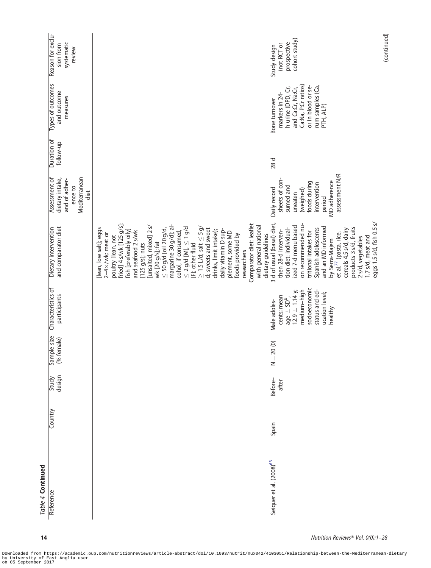| Table 4 Continued                   |         |                  |                           |                                                                                                                                                      |                                                                                                                                                                                                                                                                                                                                                                                                                                                                                                                                                                                                                                                                                                                                                                                                                                                                                                                                                                                                     |                                                                                                                                                        |                          |                                                                                                                                                         |                                                             |
|-------------------------------------|---------|------------------|---------------------------|------------------------------------------------------------------------------------------------------------------------------------------------------|-----------------------------------------------------------------------------------------------------------------------------------------------------------------------------------------------------------------------------------------------------------------------------------------------------------------------------------------------------------------------------------------------------------------------------------------------------------------------------------------------------------------------------------------------------------------------------------------------------------------------------------------------------------------------------------------------------------------------------------------------------------------------------------------------------------------------------------------------------------------------------------------------------------------------------------------------------------------------------------------------------|--------------------------------------------------------------------------------------------------------------------------------------------------------|--------------------------|---------------------------------------------------------------------------------------------------------------------------------------------------------|-------------------------------------------------------------|
| Reference                           | Country | design<br>Study  | Sample size<br>(% female) | Characteristics of<br>participants                                                                                                                   | and comparator diet<br>Dietary intervention                                                                                                                                                                                                                                                                                                                                                                                                                                                                                                                                                                                                                                                                                                                                                                                                                                                                                                                                                         | Mediterranean<br>Assessment of<br>dietary intake,<br>and of adher-<br>ence to<br>diet                                                                  | Duration of<br>follow-up | Types of outcomes<br>and outcome<br>measures                                                                                                            | Reason for exclu-<br>systematic<br>sion from<br>review      |
| Seiquer et al. (2008) <sup>63</sup> | Spain   | Before-<br>after | $N = 20(0)$               | socioeconomic<br>medium-high<br>status and ed-<br>$age \pm SD^b$ ,<br>12.9 $\pm$ 1.14 y;<br>ucation level;<br>cents; mean<br>Male adoles-<br>healthy | eggs 1.5 s/d, fish 0.5 s/<br>fried] 4 s/wk [125 g/s];<br>Comparator diet: leaflet<br>3 d of usual (basal) diet,<br>on recommended nu-<br>margarine 30 g/d]; al-<br>with general national<br>ized 7-d menu based<br>[unsalted, mixed] 2 s/<br>$\leq$ 2 g/d [M], $\leq$ 1 g/d<br>[F]; other fluid<br>$\geq$ 1.5 L/d; salt $\leq$ 5 g/<br>and an MD informed<br>products 3 s/d, fruits<br>[lean, low salt]; eggs<br>d; sweets and sweet<br>$\leq$ 50 g/d [oil 20 g/d,<br>tion diet: individual-<br>Spanish adolescents<br>cereals 4.5 s/d, dairy<br>drinks, limit intake);<br>then 28-d interven-<br>fish [preferably oily]<br>daily vitamin D sup-<br>and seafood 2 s/wk<br>tritional intakes for<br>cohol, if consumed,<br>plement, some MD<br>et al. <sup>77</sup> (pasta, rice,<br>$2-4 \times$ /wk; meat or<br>dietary guidelines<br>foods provided by<br>poultry [lean, not<br>1.7 s/d, meat and<br>2 s/d, vegetables<br>by Serra-Majem<br>wk [20 g/s]; fat<br>$[125 g/s]$ ; nuts<br>researchers | assessment N/R<br>sheets of con-<br><b>MD</b> adherence<br>foods during<br>intervention<br>sumed and<br>Daily record<br>(weighed)<br>uneaten<br>period | 28d                      | Ca:Na, P:Cr ratios)<br>or in blood or se-<br>h urine (DPD, Cr,<br>rum samples (Ca,<br>and Ca:Cr, Na:Cr,<br>markers in 24-<br>Bone turnover<br>PTH, ALP) | cohort study)<br>prospective<br>(not RCT or<br>Study design |
|                                     |         |                  |                           |                                                                                                                                                      |                                                                                                                                                                                                                                                                                                                                                                                                                                                                                                                                                                                                                                                                                                                                                                                                                                                                                                                                                                                                     |                                                                                                                                                        |                          |                                                                                                                                                         | (continued)                                                 |

**14** Nutrition Reviews<sup>®</sup> Vol. 0(0):1–28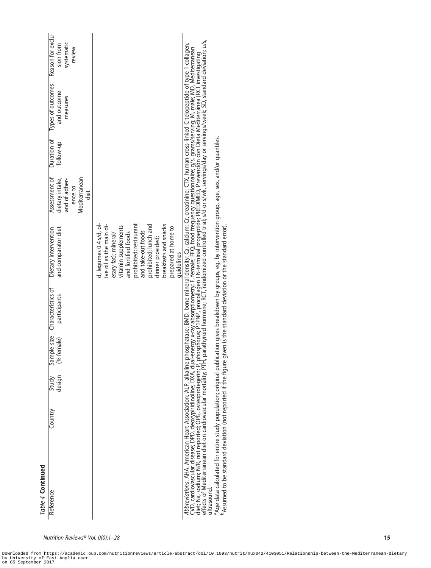| Table 4 Continued                                                                                                                                                                                                                                                                                                |         |                 |                           |                                    |                                                                                                                                                                                                                                                                                     |                                                                                       |                          |                                              |                                                        |
|------------------------------------------------------------------------------------------------------------------------------------------------------------------------------------------------------------------------------------------------------------------------------------------------------------------|---------|-----------------|---------------------------|------------------------------------|-------------------------------------------------------------------------------------------------------------------------------------------------------------------------------------------------------------------------------------------------------------------------------------|---------------------------------------------------------------------------------------|--------------------------|----------------------------------------------|--------------------------------------------------------|
| Reference                                                                                                                                                                                                                                                                                                        | Country | design<br>Study | Sample size<br>(% female) | Characteristics of<br>participants | and comparator diet<br>Dietary intervention                                                                                                                                                                                                                                         | Mediterranean<br>Assessment of<br>dietary intake,<br>and of adher-<br>ence to<br>diet | Duration of<br>follow-up | lypes of outcomes<br>and outcome<br>measures | Reason for exclu-<br>systematic<br>sion from<br>review |
|                                                                                                                                                                                                                                                                                                                  |         |                 |                           |                                    | d, legumes 0.4 s/d, ol-<br>ive oil as the main di-<br>breakfasts and snacks<br>prohibited; restaurant<br>prohibited; lunch and<br>vitamin supplements<br>prepared at home to<br>and take-out foods<br>and fortified foods<br>etary fat); mineral/<br>dinner provided;<br>guidelines |                                                                                       |                          |                                              |                                                        |
| CVD, cardiovascular disease; DPD, deoxypiridinoline; DXA, dual-energy x-ray absorptiometry; F, female; FFQ, food frequency questionnaire; g/s, grams/serving; M, male; MD, Mediterranean<br>diet; Na, sodium; N/R, not reported;<br>Abbreviations: AHA, American Heart Association; ALP, alkaline<br>ultrasound. |         |                 |                           |                                    | parathyroid hormone; RCT, randomized controlled trial; s/d or s/wk, servings/day or servings/week; SD, standard deviation; u/s,<br>phosphatase; BMD, bone mineral density; Ca, calcium; Cr, creatinine; CTX, human cross-linked C-telopeptide of type 1 collagen;                   |                                                                                       |                          |                                              |                                                        |

ultrasound.<br>"Age data calculated for entire study population; original publication gives breakdown by groups, eg, by intervention group, age, sex, and/or quantiles.<br>"Age data calculated for entire study population; origina <sup>a</sup>Age data calculated for entire study population; original publication gives breakdown by groups, eg, by intervention group, age, sex, and/or quantiles.<br>"Assumed to be standard deviation (not reported if the figure given

# $\mu$  Nutrition Reviews® Vol. 0(0):1–28 15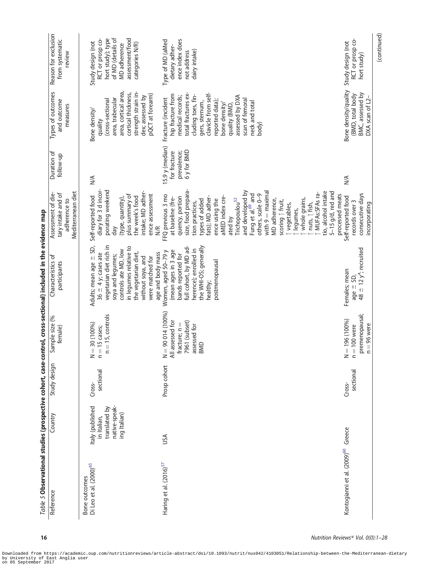<span id="page-15-0"></span>

| Table 5 Observational studies (prospective cohort, case-control, cross-sectional) included in the evidence map |                                                                                   |                     |                                                                                                |                                                                                                                                                                                                                                               |                                                                                                                                                                                                                                                                                                                                                                                                                                                                                                                               |                                                                 |                                                                                                                                                                                                                                                                       |                                                                                                                                              |
|----------------------------------------------------------------------------------------------------------------|-----------------------------------------------------------------------------------|---------------------|------------------------------------------------------------------------------------------------|-----------------------------------------------------------------------------------------------------------------------------------------------------------------------------------------------------------------------------------------------|-------------------------------------------------------------------------------------------------------------------------------------------------------------------------------------------------------------------------------------------------------------------------------------------------------------------------------------------------------------------------------------------------------------------------------------------------------------------------------------------------------------------------------|-----------------------------------------------------------------|-----------------------------------------------------------------------------------------------------------------------------------------------------------------------------------------------------------------------------------------------------------------------|----------------------------------------------------------------------------------------------------------------------------------------------|
| Reference                                                                                                      | Country                                                                           | Study design        | Sample size (%<br>female)                                                                      | Characteristics of<br>participants                                                                                                                                                                                                            | Mediterranean diet<br>Assessment of die-<br>tary intake and of<br>adherence to                                                                                                                                                                                                                                                                                                                                                                                                                                                | Duration of<br>follow-up                                        | Types of outcomes<br>and outcome<br>measures                                                                                                                                                                                                                          | Reason for exclusion<br>from systematic<br>review                                                                                            |
| Di Leo et al. (2000) <sup>65</sup><br><b>Bone outcomes</b>                                                     | Italy (published<br>native-speak-<br>translated by<br>ing Italian)<br>in Italian, | sectional<br>Cross- | $n = 15$ , controls<br>$N = 30(100%)$<br>$n = 15$ cases;                                       | vegetarian diet rich in<br>in legumes relative to<br>Adults; mean age $\pm$ SD,<br>controls ate MD, low<br>the vegetarian diet,<br>36 $\pm$ 4 y; cases ate<br>age and body mass<br>soya and legumes;<br>without soya, and<br>were matched for | porating weekend<br>diary for 3 d incor-<br>intake; MD adher-<br>ence assessment<br>plus summary of<br>Self-reported food<br>the week's food<br>(type, quantity),<br>₩R<br>day                                                                                                                                                                                                                                                                                                                                                | $M \times$                                                      | area, cortical area,<br>strength strain in-<br>cortical thickness,<br>pQCT at forearm)<br>dex; assessed by<br>area, trabecular<br>(cross-sectional<br>Bone density/<br>quality                                                                                        | hort study); type<br>of MD (details of<br>assessment/food<br>RCT or prosp co-<br>Study design (not<br>categories N/R)<br><b>MD</b> adherence |
| Haring et al. (2016) <sup>57</sup>                                                                             | USA                                                                               | Prosp cohort        | $N = 90014(100%)$<br>7961 (subset)<br>All assessed for<br>fracture; n =<br>assessed for<br>BMD | full cohort, by MD ad-<br>the WHI-OS; generally<br>herence); enrolled in<br>(mean ages in 3 age<br>Women, aged 50-79 y<br>bands reported for<br>postmenopausal<br>healthy;                                                                    | size, food prepara-<br>and developed by<br>with $9 =$ maximal<br>tio, alcohol intake<br>5-15 g/d, red and<br>T MUFAs:SFAs ra-<br>Fung et al. <sup>69</sup> and<br>others, scale 0-9<br>FFQ previous 3 mo<br>processed meats<br>quency, portion<br>aMED index cre-<br>fats); MD adher-<br>at baseline (fre-<br>ence using the<br>whole grains,<br>types of added<br>Trichopoulou <sup>52</sup><br><b>MD</b> adherence,<br>scoring   fruit,<br>tion practices,<br>nuts, $\uparrow$ fish,<br>tvegetables,<br>legumes,<br>ated by | $15.9$ y (median)<br>prevalence;<br>6 y for BMD<br>for fracture | total fractures ex-<br>clavicle from self-<br>hip fracture from<br>cluding toes, fin-<br>medical records;<br>assessed by DXA<br>Fracture (incident<br>scan of femoral<br>reported data);<br>gers, sternum,<br>neck and total<br>bone density<br>quality (BMD<br>body) | ence index does<br>Type of MD (aMed<br>dietary adher-<br>dairy intake)<br>not address                                                        |
| Kontogianni et al. (2009) <sup>60</sup>                                                                        | Greece                                                                            | sectional<br>Cross- | premenopausal;<br>$N = 196(100%)$<br>$n = 100$ were<br>$n = 96$ were                           | $48 \pm 12$ $y^2$ ; recruited<br>Females; mean<br>age $\pm$ SD,                                                                                                                                                                               | consecutive days<br>Self-reported food<br>records over 3<br>incorporating                                                                                                                                                                                                                                                                                                                                                                                                                                                     | $\frac{4}{\sqrt{2}}$                                            | Bone density/quality<br>BMC, assessed by<br>(BMD, total body<br>DXA scan of L2-                                                                                                                                                                                       | RCT or prosp co-<br>Study design (not<br>hort study)                                                                                         |
|                                                                                                                |                                                                                   |                     |                                                                                                |                                                                                                                                                                                                                                               |                                                                                                                                                                                                                                                                                                                                                                                                                                                                                                                               |                                                                 |                                                                                                                                                                                                                                                                       | (continued)                                                                                                                                  |

Table 5 Observational studies (prospective cohort, case-control, cross-sectional) included in the evidence map ctional) included in the evidence ġ, CVOCC.  $1 - 1$ Į ە<br>ئ cohort **Enactiva** Table 5 Observational studies (pro

Downloaded from https://academic.oup.com/nutritionreviews/article-abstract/doi/10.1093/nutrit/nux042/4103051/Relationship-between-the-Mediterranean-dietary<br>by University of East Anglia user<br>on 05 September 2017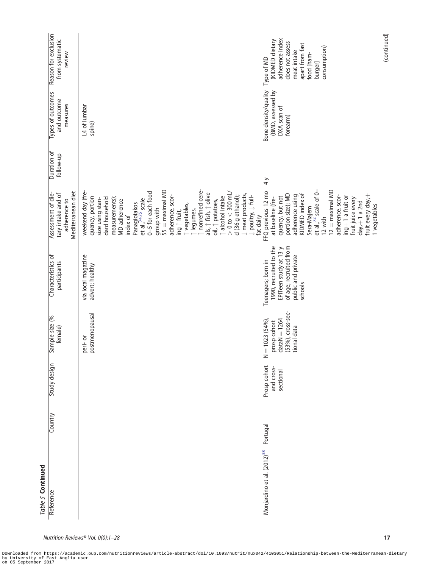| Table 5 Continued                      |          |                                         |                                                                                        |                                                                                                                                  |                                                                                                                                                                                                                                                                                                                                                                                                                                                                                                     |                          |                                                                      |                                                                                                                                                        |
|----------------------------------------|----------|-----------------------------------------|----------------------------------------------------------------------------------------|----------------------------------------------------------------------------------------------------------------------------------|-----------------------------------------------------------------------------------------------------------------------------------------------------------------------------------------------------------------------------------------------------------------------------------------------------------------------------------------------------------------------------------------------------------------------------------------------------------------------------------------------------|--------------------------|----------------------------------------------------------------------|--------------------------------------------------------------------------------------------------------------------------------------------------------|
| Reference                              | Country  | Study design                            | Sample size (%<br>female)                                                              | Characteristics of<br>participants                                                                                               | Mediterranean diet<br>Assessment of die-<br>tary intake and of<br>adherence to                                                                                                                                                                                                                                                                                                                                                                                                                      | Duration of<br>follow-up | Types of outcomes<br>and outcome<br>measures                         | Reason for exclusion<br>from systematic<br>review                                                                                                      |
|                                        |          |                                         | postmenopausal<br>peri- or                                                             | via local magazine<br>advert; healthy                                                                                            | $55 =$ maximal $MD$<br>nonrefined cere-<br>0-5 for each food<br>weekend day (fre-<br>$> 0$ to $<$ 300 mL<br>als, 1 fish, 1 olive<br>oil, 1 potatoes,<br>meat products,<br>d (36 g ethanol);<br>adherence, scor-<br>↑ alcohol intake<br>↓ poultry, ↓ full-<br>quency, portion<br>measurements);<br>dard household<br>size using stan-<br>Panagiotakos<br>et al., <sup>74,75</sup> scale<br><b>MD</b> adherence<br>t vegetables,<br>group with<br>↑ legumes,<br>ing ↑ fruit,<br>fat dairy<br>index of |                          | L4 of lumbar<br>spine)                                               |                                                                                                                                                        |
| Monjardino et al. (2012) <sup>58</sup> | Portugal | Prosp cohort<br>and cross-<br>sectional | (53%), cross-sec-<br>$dataN = 1264$<br>$N = 1023(54\%)$<br>prosp cohort<br>tional data | of age; recruited from<br>1990, recruited to the<br>EPITeen study at 13 y<br>public and private<br>Teenagers; born in<br>schools | FFQ previous 12 mo<br>$12 =$ maximal MD<br>et al., $72$ scale of 0-<br>portion size); MD<br>KIDMED index of<br>fruit every day,+<br>adherence using<br>adherence, scor-<br>quency, but not<br>ing+1 a fruit or<br>at baseline (fre-<br>fruit juice every<br>$day+1$ a 2nd<br>1 vegetables<br>Sera-Majem<br>12 with                                                                                                                                                                                  | $\frac{1}{4}$            | Bone density/quality<br>(BMD, assessed by<br>DXA scan of<br>forearm) | adherence index<br>(KIDMED dietary<br>does not assess<br>apart from fast<br>consumption)<br>meat intake<br>food [ham-<br>Type of MD<br><b>burger</b> ] |

 $\mu$  Nutrition Reviews® Vol. 0(0):1–28 **17** 

Downloaded from https://academic.oup.com/nutritionreviews/article-abstract/doi/10.1093/nutrit/nux042/4103051/Relationship-between-the-Mediterranean-dietary<br>by University of East Anglia user<br>on 05 September 2017

(continued)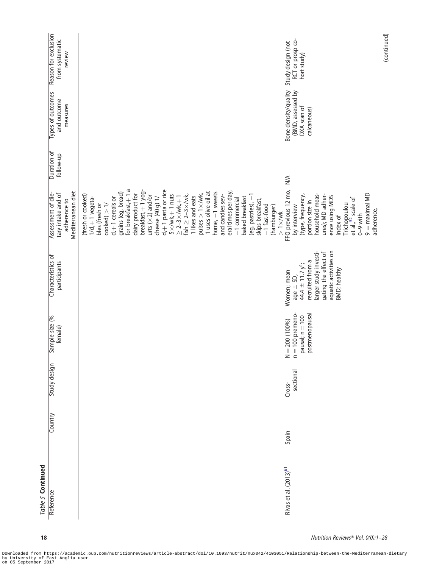| Table 5 Continued                 |         |                     |                                                                           |                                                                                                                                                                       |                                                                                                                                                                                                                                                                                                                                                                                                                                                                                                                                                                                                                            |                          |                                                                         |                                                      |
|-----------------------------------|---------|---------------------|---------------------------------------------------------------------------|-----------------------------------------------------------------------------------------------------------------------------------------------------------------------|----------------------------------------------------------------------------------------------------------------------------------------------------------------------------------------------------------------------------------------------------------------------------------------------------------------------------------------------------------------------------------------------------------------------------------------------------------------------------------------------------------------------------------------------------------------------------------------------------------------------------|--------------------------|-------------------------------------------------------------------------|------------------------------------------------------|
| Reference                         | Country | Study design        | Sample size (%<br>female)                                                 | Characteristics of<br>participants                                                                                                                                    | Mediterranean diet<br>Assessment of die-<br>tary intake and of<br>adherence to                                                                                                                                                                                                                                                                                                                                                                                                                                                                                                                                             | Duration of<br>follow-up | Types of outcomes<br>and outcome<br>measures                            | Reason for exclusion<br>from systematic<br>review    |
|                                   |         |                     |                                                                           |                                                                                                                                                                       | for breakfast, $+1$ a<br>$d$ , $+$ 1 pasta or rice<br>breakfast, + 1 yog-<br>eral times per day,<br>1 uses olive oil at<br>home, -1 sweets<br>grains (eg, bread)<br>dairy product for<br>$pulses > 1 \times /wk$<br>fish $\geq$ 2-3 $\times$ /wk,<br>(fresh or cooked)<br>urts $(x2)$ and/or<br>$5 \times$ /wk, $+1$ nuts<br>and candies sev-<br>ī<br>1 likes and eats<br>$\geq$ 2-3 $\times$ /wk, + 1<br>baked breakfast<br>cheese $(40 g)$ 1/<br>$d+1$ cereals or<br>-1 commercial<br>$1/d + 1$ vegeta-<br>skips breakfast,<br>(eg, pastries),<br>bles (fresh or<br>$\text{coked}$ > 1/<br>$-1$ fast-food<br>(hamburger) |                          |                                                                         |                                                      |
| Rivas et al. (2013) <sup>61</sup> | Spain   | sectional<br>Cross- | N = 200 (100%)<br>n = 100 premeno-<br>postmenopausal<br>pausal; $n = 100$ | aquatic activities on<br>larger study investi-<br>gating the effect of<br>recruited from a<br>$44.4 \pm 11.7$ $y^2$ ;<br>BMD; healthy<br>Women; mean<br>age $\pm$ SD, | FFQ previous 12 mo,<br>$9 =$ maximal MD<br>household meas-<br>(type, frequency,<br>ures); MD adher-<br>ence using MDS<br>Trichopoulou<br>et al., <sup>52</sup> scale of<br>0–9 with<br>portion size in<br>by interview<br>adherence,<br>$>1 \times$ /wk<br>index of                                                                                                                                                                                                                                                                                                                                                        | $M_{\rm M}$              | Bone density/quality<br>(BMD, assessed by<br>DXA scan of<br>calcaneous) | RCT or prosp co-<br>Study design (not<br>hort study) |

(continued)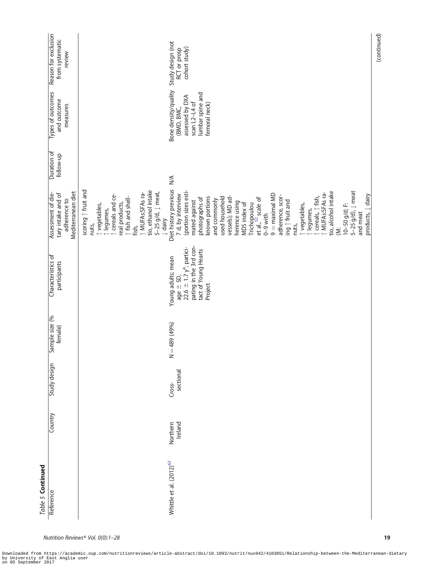| Table 5 Continued                   |                     |                     |                           |                                                                                                                                              |                                                                                                                                                                                                                                                                                                                                                                                                                                                                                                                                                                                                                                                                                                                                                                                                    |                          |                                                                                                                                 |                                                   |
|-------------------------------------|---------------------|---------------------|---------------------------|----------------------------------------------------------------------------------------------------------------------------------------------|----------------------------------------------------------------------------------------------------------------------------------------------------------------------------------------------------------------------------------------------------------------------------------------------------------------------------------------------------------------------------------------------------------------------------------------------------------------------------------------------------------------------------------------------------------------------------------------------------------------------------------------------------------------------------------------------------------------------------------------------------------------------------------------------------|--------------------------|---------------------------------------------------------------------------------------------------------------------------------|---------------------------------------------------|
| Reference                           | Country             | Study design        | Sample size (%<br>female) | Characteristics of<br>participants                                                                                                           | Mediterranean diet<br>Assessment of die-<br>tary intake and of<br>adherence to                                                                                                                                                                                                                                                                                                                                                                                                                                                                                                                                                                                                                                                                                                                     | Duration of<br>follow-up | Types of outcomes<br>and outcome<br>measures                                                                                    | Reason for exclusion<br>from systematic<br>review |
| Whittle et al. (2012) <sup>62</sup> | Northern<br>Ireland | sectional<br>Cross- | $N = 489(49%)$            | pating in the 3rd con-<br>age $\pm$ SD,<br>22.6 $\pm$ 1.7 y <sup>a</sup> ; partici-<br>tact of Young Hearts<br>Young adults; mean<br>Project | Diet history previous N/A<br>tio, ethanol intake<br>scoring 1 fruit and<br>(portion sizes esti-<br>5-25 g/d), $\downarrow$ meat<br>tio, alcohol intake<br>5-25 g/d, $\downarrow$ meat,<br>↑ MUFAs:SFAs ra-<br>MUFAs:SFAs ra-<br>$9 =$ maximal MD<br>cereals and ce-<br>7 d, by interview<br>products, $\downarrow$ dairy<br>adherence, scor-<br>↑ fish and shell-<br>cereals, $\uparrow$ fish,<br>used household<br>known portions<br>vessels); MD ad-<br>Trichopoulou<br>et al., <sup>52</sup> scale of<br>photographs of<br>and commonly<br>ing 1 fruit and<br>mated against<br>herence using<br>real products,<br>MDS index of<br>vegetables,<br>t vegetables,<br>$10 - 50$ g/d; F:<br>·legumes,<br>·legumes,<br>and meat<br>$0 - 9$ with<br>$\downarrow$ dairy<br>nuts,<br>nuts,<br>fish,<br>Ë |                          | Bone density/quality Study design (not<br>lumbar spine and<br>assessed by DXA<br>scan $L2-L4$ of<br>femoral neck)<br>(BMD, BMC, | cohort study)<br>RCT or prosp                     |

(continued)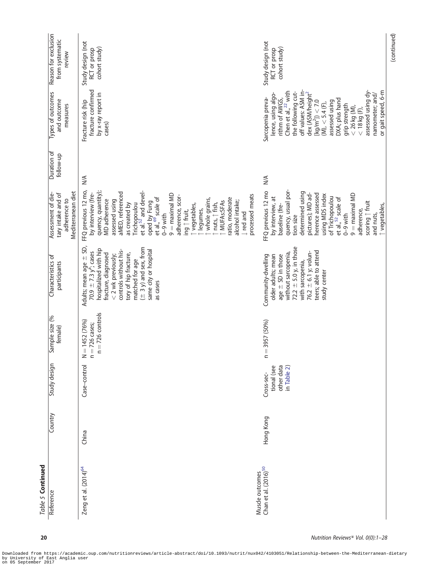| Table 5 Continued                                   |           |                                                        |                                                           |                                                                                                                                                                                                                                                                                   |                                                                                                                                                                                                                                                                                                                                                                                                                                                                                         |                          |                                                                                                                                                                                                                                                                                                                                                                                                |                                                    |
|-----------------------------------------------------|-----------|--------------------------------------------------------|-----------------------------------------------------------|-----------------------------------------------------------------------------------------------------------------------------------------------------------------------------------------------------------------------------------------------------------------------------------|-----------------------------------------------------------------------------------------------------------------------------------------------------------------------------------------------------------------------------------------------------------------------------------------------------------------------------------------------------------------------------------------------------------------------------------------------------------------------------------------|--------------------------|------------------------------------------------------------------------------------------------------------------------------------------------------------------------------------------------------------------------------------------------------------------------------------------------------------------------------------------------------------------------------------------------|----------------------------------------------------|
| Reference                                           | Country   | Study design                                           | Sample size (%<br>female)                                 | Characteristics of<br>participants                                                                                                                                                                                                                                                | Mediterranean diet<br>Assessment of die-<br>tary intake and of<br>adherence to                                                                                                                                                                                                                                                                                                                                                                                                          | Duration of<br>follow-up | Types of outcomes<br>and outcome<br>measures                                                                                                                                                                                                                                                                                                                                                   | Reason for exclusion<br>from systematic<br>review  |
| Zeng et al. (2014) <sup>64</sup>                    | China     | Case-control                                           | $n = 726$ controls<br>$N = 1452(76%)$<br>$n = 726$ cases; | Adults; mean age $\pm$ SD,<br>$(\pm 3 \text{ y})$ and sex, from<br>hospitalized with hip<br>controls without his-<br>same city or hospital<br>70.9 $\pm$ 7.3 $y^2$ ; cases<br>fracture, diagnosed<br>tory of hip fracture,<br>$<$ 2 wk previously;<br>matched for age<br>as cases | quency, quantity);<br>FFQ previous 12 mo,<br>Trichopoulou<br>et al. <sup>52</sup> and devel-<br>aMED, referenced<br>$9 =$ maximal MD<br>by interview (fre-<br>processed meats<br>adherence, scor-<br>oped by Fung<br>et al., <sup>69</sup> scale of<br>ratio, moderate<br>whole grains,<br><b>MD</b> adherence<br>assessed using<br>alcohol intake;<br>MUFAs:SFAs<br>nuts, 1 fish,<br>tvegetables,<br>as created by<br>legumes,<br>ing ↑ fruit,<br>$0 - 9$ with<br>$\downarrow$ red and | $M \times$               | fracture confirmed<br>by x-ray report in<br>Fracture risk (hip<br>cases)                                                                                                                                                                                                                                                                                                                       | Study design (not<br>cohort study)<br>RCT or prosp |
| Chan et al. (2016) <sup>50</sup><br>Muscle outcomes | Hong Kong | other data<br>tional (see<br>in Table 2)<br>Cross-sec- | $n = 3957(50%)$                                           | $72.2 \pm 5.0$ y, in those<br>teers; able to attend<br>$76.2 \pm 6.1$ y; volun-<br>without sarcopenia,<br>older adults; mean<br>Community-dwelling<br>age $\pm$ SD in those<br>with sarcopenia,<br>study center                                                                   | quency, usual por-<br>FFQ previous 12 mo<br>determined using<br>herence assessed<br>$9 =$ maximal MD<br>pictures); MD ad-<br>using MDS index<br>of Trichopoulou<br>by interview, at<br>et al., <sup>52</sup> scale of<br>scoring   fruit<br>t vegetables,<br>baseline (fre-<br>adherence,<br>$0 - 9$ with<br>and nuts,<br>tion size                                                                                                                                                     | $\frac{4}{\sqrt{2}}$     | assessed using dy-<br>off values: ASM in-<br>Chen et al., $^{22}$ with<br>or gait speed, 6-m<br>the following cut-<br>dex (ASM/height <sup>2</sup><br>lence, using algo-<br>namometer; and/<br>Sarcopenia preva-<br>rithm of AWGS,<br>DXA; plus hand<br>[kg/m <sup>2</sup> ] <sub>1</sub> < 7.0<br>assessed using<br>$(M)$ , $<$ 5.4 (F),<br>grip strength<br>$<$ 26 kg (M),<br>$<$ 18 kg (F), | Study design (not<br>cohort study)<br>RCT or prosp |
|                                                     |           |                                                        |                                                           |                                                                                                                                                                                                                                                                                   |                                                                                                                                                                                                                                                                                                                                                                                                                                                                                         |                          |                                                                                                                                                                                                                                                                                                                                                                                                | (continued)                                        |

**20**  $\blacksquare$  **20**  $\blacksquare$  **Nutrition Reviews**  $\blacksquare$  **Vol. 0(0):1–28**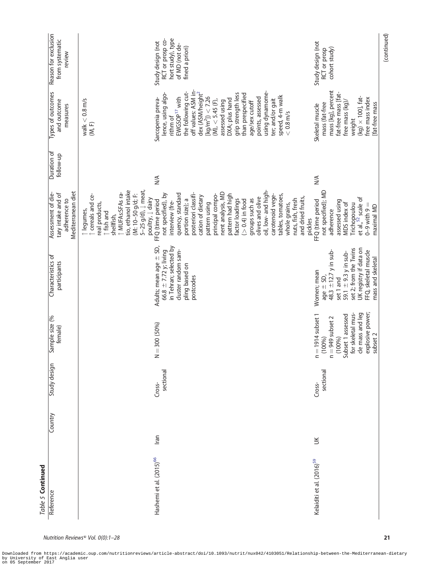| Table 5 Continued                     |         |                     |                                                                                                                                                             |                                                                                                                                                                                                    |                                                                                                                                                                                                                                                                                                                                                                                             |                          |                                                                                                                                                                                                                                                                                                                                                                |                                                        |
|---------------------------------------|---------|---------------------|-------------------------------------------------------------------------------------------------------------------------------------------------------------|----------------------------------------------------------------------------------------------------------------------------------------------------------------------------------------------------|---------------------------------------------------------------------------------------------------------------------------------------------------------------------------------------------------------------------------------------------------------------------------------------------------------------------------------------------------------------------------------------------|--------------------------|----------------------------------------------------------------------------------------------------------------------------------------------------------------------------------------------------------------------------------------------------------------------------------------------------------------------------------------------------------------|--------------------------------------------------------|
| Reference                             | Country | Study design        | Sample size (%<br>female)                                                                                                                                   | Characteristics of<br>participants                                                                                                                                                                 | Mediterranean diet<br>Assessment of die-<br>tary intake and of<br>adherence to                                                                                                                                                                                                                                                                                                              | Duration of<br>follow-up | Types of outcomes<br>and outcome<br>measures                                                                                                                                                                                                                                                                                                                   | Reason for exclusion<br>from systematic<br>review      |
| Hashemi et al. (2015) <sup>66</sup>   | Iran    | sectional<br>Cross- | $N = 300$ (50%)                                                                                                                                             | Adults; mean age ± SD,<br>66.8 $\pm$ 7.72 y; living                                                                                                                                                | tio, ethanol intake<br>5-25 g/d), $\downarrow$ meat,<br>T MUFAs:SFAs ra-<br>not specified), by<br>(M: 10-50 g/d; F:<br>cereals and ce-<br>poultry, $\downarrow$ dairy<br>FFQ (time period<br>real products,<br>↑ legumes,<br>↑ fish and<br>shellfish,                                                                                                                                       | $M \times$               | lence, using algo-<br>Sarcopenia preva-<br>walk $< 0.8$ m/s<br>$(M, F)$                                                                                                                                                                                                                                                                                        | RCT or prosp co-<br>Study design (not                  |
|                                       |         |                     |                                                                                                                                                             | in Tehran; selected by<br>cluster random sam-<br>pling based on<br>postcodes                                                                                                                       | oil, low- and high-<br>nent analysis, MD<br>posteriori classifi-<br>quency, standard<br>principal compo-<br>pattern had high<br>carotenoid vege-<br>tables, tomatoes,<br>cation of dietary<br>olives and olive<br>and dried fruits,<br>factor loadings<br>groups such as<br>nuts, fish, fresh<br>portion size); a<br>$(> 0.4)$ in food<br>interview (fre-<br>pattern using<br>whole grains, |                          | off values: ASM in-<br>using dynamome-<br>the following cut-<br>dex (ASM/height <sup>2</sup><br>grip strength less<br>than prespecified<br>speed, 4-m walk<br>points, assessed<br>EWGSOP <sup>17</sup> with<br>$\log(m^2]) < 7.26$<br>ter; and/or gait<br>DXA; plus hand<br>$(M)$ , < 5.45 (F),<br>assessed using<br>age/sex cutoff<br>$< 0.8$ m/s<br>rithm of | hort study), type<br>of MD (not de-<br>fined a priori) |
| Kelaiditi et al. (2016) <sup>59</sup> | $\leq$  | sectional<br>Cross- | explosive power;<br>for skeletal mus-<br>cle mass and leg<br>$n = 1914$ subset 1<br>Subset 1 assessed<br>$n = 949$ subset 2<br>subset 2<br>(100%)<br>(100%) | UK registry if data on<br>set 2; from the Twins<br>FFQ, skeletal muscle<br>59.1 $\pm$ 9.3 y in sub-<br>age $\pm$ SD,<br>48.3 $\pm$ 12.7 y in sub-<br>mass and skeletal<br>Women; mean<br>set 1 and | not specified); MD<br>Trichopoulou<br>et al., <sup>52</sup> scale of<br>FFQ (time period<br>assessed using<br>MDS index of<br>$-9$ with $9 =$<br>maximal MD<br>adherence<br>pickles                                                                                                                                                                                                         | $M \times$               | mass [kg], percent<br>fat-free mass [fat-<br>$(kg) \times 100$ ], fat-<br>free mass index<br>free mass (kg)/<br>mass (fat-free<br>[fat-free mass<br>Skeletal muscle<br>weight                                                                                                                                                                                  | Study design (not<br>cohort study)<br>RCT or prosp     |
|                                       |         |                     |                                                                                                                                                             |                                                                                                                                                                                                    |                                                                                                                                                                                                                                                                                                                                                                                             |                          |                                                                                                                                                                                                                                                                                                                                                                | (continued)                                            |

Downloaded from https://academic.oup.com/nutritionreviews/article-abstract/doi/10.1093/nutrit/nux042/4103051/Relationship-between-the-Mediterranean-dietary<br>by University of East Anglia user<br>on 05 September 2017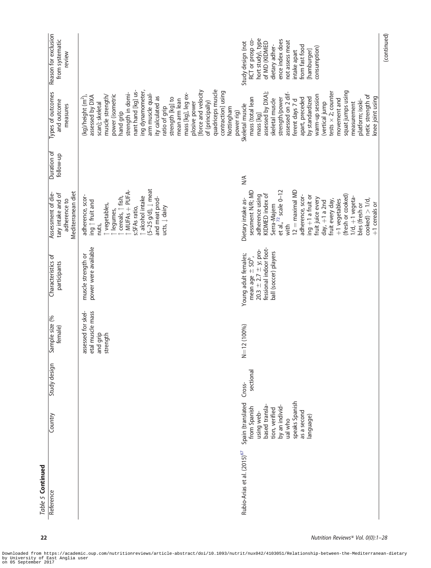| Table 5 Continued                       |                                                                                                                                                               |                     |                                                                |                                                                                                                                             |                                                                                                                                                                                                                                                                                                                                                                                    |                          |                                                                                                                                                                                                                                                                                                                                                                                                                                                  |                                                                                                                                                                                                      |
|-----------------------------------------|---------------------------------------------------------------------------------------------------------------------------------------------------------------|---------------------|----------------------------------------------------------------|---------------------------------------------------------------------------------------------------------------------------------------------|------------------------------------------------------------------------------------------------------------------------------------------------------------------------------------------------------------------------------------------------------------------------------------------------------------------------------------------------------------------------------------|--------------------------|--------------------------------------------------------------------------------------------------------------------------------------------------------------------------------------------------------------------------------------------------------------------------------------------------------------------------------------------------------------------------------------------------------------------------------------------------|------------------------------------------------------------------------------------------------------------------------------------------------------------------------------------------------------|
| Reference                               | Country                                                                                                                                                       | Study design        | Sample size (%<br>female)                                      | Characteristics of<br>participants                                                                                                          | Mediterranean diet<br>Assessment of die-<br>tary intake and of<br>adherence to                                                                                                                                                                                                                                                                                                     | Duration of<br>follow-up | Types of outcomes<br>and outcome<br>measures                                                                                                                                                                                                                                                                                                                                                                                                     | Reason for exclusion<br>from systematic<br>review                                                                                                                                                    |
|                                         |                                                                                                                                                               |                     | assessed for skel-<br>etal muscle mass<br>and grip<br>strength | power were available<br>muscle strength or                                                                                                  | $(5-25 \text{ g/d})$ , $\downarrow$ meat<br>MUFAs + PUFA-<br>alcohol intake<br>adherence, scor-<br>cereals, $\uparrow$ fish,<br>and meat prod-<br>ing 1 fruit and<br>vegetables,<br>ucts, $\downarrow$ dairy<br>s:SFAs ratio,<br>legumes,<br>nuts,                                                                                                                                 |                          | ing dynamometer,<br>quadriceps muscle<br>nant hand [kg] us-<br>[force and velocity<br>contraction] using<br>strength in domi-<br>arm muscle qual-<br>mass [kg], leg ex-<br>power (isometric<br>muscle strength/<br>assessed by DXA<br>(kg)/height (m <sup>2</sup> ),<br>ity calculated as<br>strength [kg] to<br>mean arm lean<br>of (principally)<br>plosive power<br>scan]; skeletal<br>ratio of grip<br>Nottingham<br>power rig)<br>hand grip |                                                                                                                                                                                                      |
| Rubio-Arias et al. (2015) <sup>67</sup> | speaks Spanish<br>Spain (translated<br>based transla-<br>from Spanish<br>by an individ<br>tion, verified<br>as a second<br>using web-<br>language)<br>ual who | sectional<br>Cross- | $N=12(100%)$                                                   | fessional indoor foot-<br>mean age $\pm$ SD <sup>b</sup> ,<br>20.3 $\pm$ 2.7 $\pm$ y; pro-<br>ball (soccer) players<br>Young adult females; | et al., $72$ scale 0-12<br>sessment N/R; MD<br>$12 =$ maximal MD<br>KIDMED index of<br>(fresh or cooked)<br>adherence using<br>adherence, scor-<br>$log + 1$ a fruit or<br>1/d, +1 vegeta-<br>fruit juice every<br>Dietary intake as-<br>fruit every day,<br>$\text{coker}$ ) > 1/d,<br>+1 vegetables<br>$day, +1$ a 2nd<br>bles (fresh or<br>+1 cereals or<br>Serra-Majem<br>with | $M \times$               | squat jumps using<br>tests $\times$ 2; counter<br>assessed by DXA);<br>assessed on 2 dif-<br>netic strength of<br>warm-up session<br>knee joint using<br>by standardized<br>strength/power<br>apart, preceded<br>mass (total lean<br>skeletal muscle<br>ferent days 7 d<br>movement and<br>platform; isoki-<br>(vertical jump<br>measurement<br>Skeletal muscle<br>mass [kg]                                                                     | hort study), type<br>RCT or prosp co-<br>ence index does<br>not assess meat<br>Study design (not<br>of MD (KIDMED<br>dietary adher-<br>from fast food<br>consumption)<br>[hamburger]<br>intake apart |
|                                         |                                                                                                                                                               |                     |                                                                |                                                                                                                                             |                                                                                                                                                                                                                                                                                                                                                                                    |                          |                                                                                                                                                                                                                                                                                                                                                                                                                                                  | (continued)                                                                                                                                                                                          |

Downloaded from https://academic.oup.com/nutritionreviews/article-abstract/doi/10.1093/nutrit/nux042/4103051/Relationship-between-the-Mediterranean-dietary<br>by University of East Anglia user<br>on 05 September 2017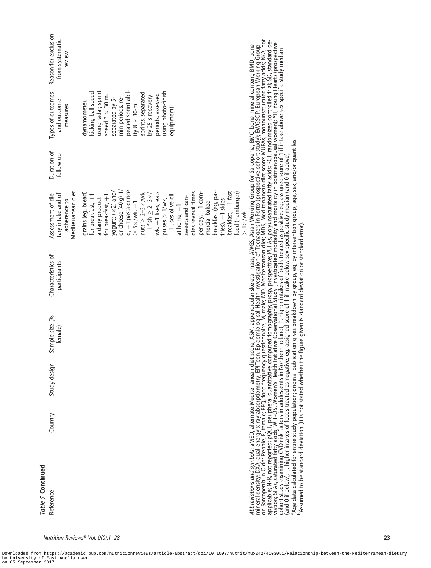| Table 5 Continued                                                                                                                                                                                                                                                                                                                                                                                                                                       |         |              |                           |                                                                                           |                                                                                                                                                                                    |                          |                                                                                                          |                                                   |
|---------------------------------------------------------------------------------------------------------------------------------------------------------------------------------------------------------------------------------------------------------------------------------------------------------------------------------------------------------------------------------------------------------------------------------------------------------|---------|--------------|---------------------------|-------------------------------------------------------------------------------------------|------------------------------------------------------------------------------------------------------------------------------------------------------------------------------------|--------------------------|----------------------------------------------------------------------------------------------------------|---------------------------------------------------|
| Reference                                                                                                                                                                                                                                                                                                                                                                                                                                               | Country | Study design | Sample size (%<br>female) | Characteristics of<br>participants                                                        | Mediterranean diet<br>Assessment of die-<br>tary intake and of<br>adherence to                                                                                                     | Duration of<br>follow-up | Types of outcomes<br>and outcome<br>measures                                                             | Reason for exclusion<br>from systematic<br>review |
|                                                                                                                                                                                                                                                                                                                                                                                                                                                         |         |              |                           |                                                                                           | grains (eg, bread)<br>for breakfast, $+1$<br>for breakfast, $+1$<br>a dairy product                                                                                                |                          | using radar; sprint<br>kicking ball speed<br>speed $3 \times 30$ m,<br>dynamometer;                      |                                                   |
|                                                                                                                                                                                                                                                                                                                                                                                                                                                         |         |              |                           |                                                                                           | $d$ , $+1$ pasta or rice<br>or cheese $(40 g) 1$<br>yogurts $(x2)$ and/<br>nuts $\geq 2-3 \times /wk$ ,<br>$\geq$ 5 $\times$ /wk, $+1$                                             |                          | peated sprint abil-<br>sprints, separated<br>separated by 5-<br>min periods; re-<br>ity $8 \times 30$ -m |                                                   |
|                                                                                                                                                                                                                                                                                                                                                                                                                                                         |         |              |                           |                                                                                           | wk, +1 likes, eats<br>$+1$ fish $\geq$ 2-3 $\times$ /<br>+1 uses olive oil<br>$pulses > 1/wk$ ,                                                                                    |                          | using photo-finish<br>periods, assessed<br>by 25-s recovery<br>equipment)                                |                                                   |
|                                                                                                                                                                                                                                                                                                                                                                                                                                                         |         |              |                           |                                                                                           | breakfast (eg, pas-<br>breakfast, -1 fast<br>dies several times<br>per day, -1 com-<br>food (hamburger)<br>sweets and can-<br>tries), $-1$ skips<br>mercial baked<br>at home, $-1$ |                          |                                                                                                          |                                                   |
| <i>Abbreviations and symbols:</i> aMED, alternate Mediterranean diet score; ASM, appendicular skeletal mass; AWGS, Asian Working Group for Sarcopenia; BMC, bone mineral content; BMD, bone mineral density; DXA, dual-energy x-ray<br><sup>b</sup> Assumed to be standard deviation (it is not stated whether the figure given is standard deviation or standard error)<br><sup>a</sup> Age data calculated for entire study population; original publ |         |              |                           | lication gives breakdown by group, eg, by intervention group, age, sex, and/or quantiles. | $>1 \times$ /wk                                                                                                                                                                    |                          |                                                                                                          |                                                   |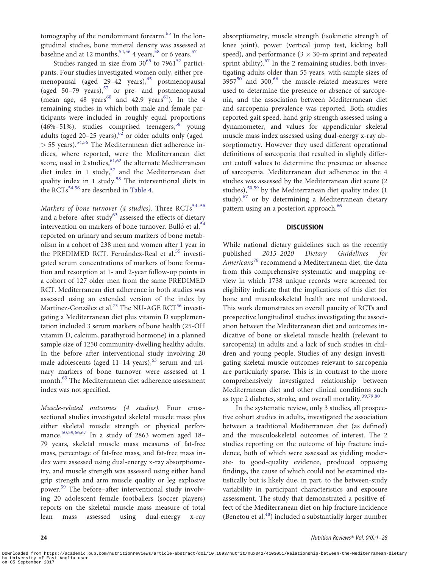tomography of the nondominant forearm.<sup>[65](#page-27-0)</sup> In the longitudinal studies, bone mineral density was assessed at baseline and at 12 months,  $54,56$  4 years,  $58$  or 6 years.  $57$ 

Studies ranged in size from  $30^{65}$  to 7961<sup>[57](#page-26-0)</sup> participants. Four studies investigated women only, either premenopausal (aged  $29-42$  years), <sup>[65](#page-27-0)</sup> postmenopausal (aged  $50-79$  years), $57$  or pre- and postmenopausal (mean age,  $48$  years<sup>[60](#page-27-0)</sup> and  $42.9$  years<sup>[61](#page-27-0)</sup>). In the 4 remaining studies in which both male and female participants were included in roughly equal proportions (46%-51%), studies comprised teenagers,  $58$  young adults (aged 20–25 years), $62$  or older adults only (aged  $>$  55 years).<sup>[54,56](#page-26-0)</sup> The Mediterranean diet adherence indices, where reported, were the Mediterranean diet score, used in 2 studies,  $61,62$  the alternate Mediterranean diet index in 1 study,<sup>[57](#page-26-0)</sup> and the Mediterranean diet quality index in 1 study.<sup>[58](#page-26-0)</sup> The interventional diets in the  $RCTs<sup>54,56</sup>$  $RCTs<sup>54,56</sup>$  $RCTs<sup>54,56</sup>$  $RCTs<sup>54,56</sup>$  $RCTs<sup>54,56</sup>$  are described in [Table 4.](#page-11-0)

Markers of bone turnover (4 studies). Three  $RCTs^{54-56}$ and a before–after study $63$  assessed the effects of dietary intervention on markers of bone turnover. Bulló et al.<sup>[54](#page-26-0)</sup> reported on urinary and serum markers of bone metabolism in a cohort of 238 men and women after 1 year in the PREDIMED RCT. Fernández-Real et al.<sup>[55](#page-26-0)</sup> investigated serum concentrations of markers of bone formation and resorption at 1- and 2-year follow-up points in a cohort of 127 older men from the same PREDIMED RCT. Mediterranean diet adherence in both studies was assessed using an extended version of the index by Martínez-González et al.<sup>[73](#page-27-0)</sup> The NU-AGE RCT<sup>[56](#page-26-0)</sup> investigating a Mediterranean diet plus vitamin D supplementation included 3 serum markers of bone health (25-OH vitamin D, calcium, parathyroid hormone) in a planned sample size of 1250 community-dwelling healthy adults. In the before–after interventional study involving 20 male adolescents (aged  $11-14$  years), <sup>[63](#page-27-0)</sup> serum and urinary markers of bone turnover were assessed at 1 month.[63](#page-27-0) The Mediterranean diet adherence assessment index was not specified.

Muscle-related outcomes (4 studies). Four crosssectional studies investigated skeletal muscle mass plus either skeletal muscle strength or physical perfor-mance.<sup>[50](#page-26-0),[59](#page-27-0),[66,67](#page-27-0)</sup> In a study of 2863 women aged 18– 79 years, skeletal muscle mass measures of fat-free mass, percentage of fat-free mass, and fat-free mass index were assessed using dual-energy x-ray absorptiometry, and muscle strength was assessed using either hand grip strength and arm muscle quality or leg explosive power.[59](#page-27-0) The before–after interventional study involving 20 adolescent female footballers (soccer players) reports on the skeletal muscle mass measure of total lean mass assessed using dual-energy x-ray

absorptiometry, muscle strength (isokinetic strength of knee joint), power (vertical jump test, kicking ball speed), and performance ( $3 \times 30$ -m sprint and repeated sprint ability). $67$  In the 2 remaining studies, both investigating adults older than 55 years, with sample sizes of  $3957^{50}$  $3957^{50}$  $3957^{50}$  and  $300,^{66}$  $300,^{66}$  $300,^{66}$  the muscle-related measures were used to determine the presence or absence of sarcopenia, and the association between Mediterranean diet and sarcopenia prevalence was reported. Both studies reported gait speed, hand grip strength assessed using a dynamometer, and values for appendicular skeletal muscle mass index assessed using dual-energy x-ray absorptiometry. However they used different operational definitions of sarcopenia that resulted in slightly different cutoff values to determine the presence or absence of sarcopenia. Mediterranean diet adherence in the 4 studies was assessed by the Mediterranean diet score (2 studies),  $50,59$  $50,59$  by the Mediterranean diet quality index (1) study), $67$  or by determining a Mediterranean dietary pattern using an a posteriori approach.<sup>[66](#page-27-0)</sup>

#### **DISCUSSION**

While national dietary guidelines such as the recently published 2015–2020 Dietary Guidelines for Americans<sup>[78](#page-27-0)</sup> recommend a Mediterranean diet, the data from this comprehensive systematic and mapping review in which 1738 unique records were screened for eligibility indicate that the implications of this diet for bone and musculoskeletal health are not understood. This work demonstrates an overall paucity of RCTs and prospective longitudinal studies investigating the association between the Mediterranean diet and outcomes indicative of bone or skeletal muscle health (relevant to sarcopenia) in adults and a lack of such studies in children and young people. Studies of any design investigating skeletal muscle outcomes relevant to sarcopenia are particularly sparse. This is in contrast to the more comprehensively investigated relationship between Mediterranean diet and other clinical conditions such as type 2 diabetes, stroke, and overall mortality.<sup>39[,79,80](#page-27-0)</sup>

In the systematic review, only 3 studies, all prospective cohort studies in adults, investigated the association between a traditional Mediterranean diet (as defined) and the musculoskeletal outcomes of interest. The 2 studies reporting on the outcome of hip fracture incidence, both of which were assessed as yielding moderate- to good-quality evidence, produced opposing findings, the cause of which could not be examined statistically but is likely due, in part, to the between-study variability in participant characteristics and exposure assessment. The study that demonstrated a positive effect of the Mediterranean diet on hip fracture incidence (Benetou et al. $48$ ) included a substantially larger number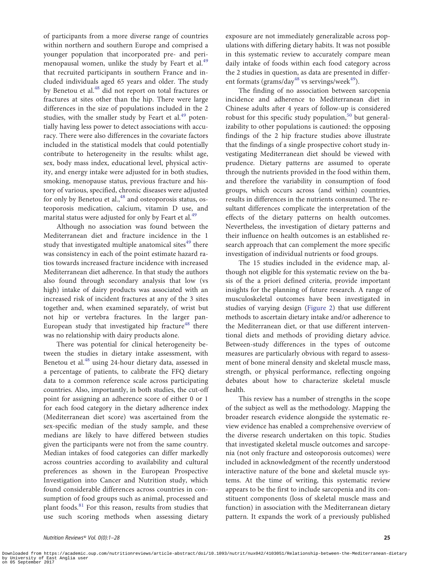of participants from a more diverse range of countries within northern and southern Europe and comprised a younger population that incorporated pre- and peri-menopausal women, unlike the study by Feart et al.<sup>[49](#page-26-0)</sup> that recruited participants in southern France and included individuals aged 65 years and older. The study by Benetou et al.<sup>[48](#page-26-0)</sup> did not report on total fractures or fractures at sites other than the hip. There were large differences in the size of populations included in the 2 studies, with the smaller study by Feart et al. $49$  potentially having less power to detect associations with accuracy. There were also differences in the covariate factors included in the statistical models that could potentially contribute to heterogeneity in the results: whilst age, sex, body mass index, educational level, physical activity, and energy intake were adjusted for in both studies, smoking, menopause status, previous fracture and history of various, specified, chronic diseases were adjusted for only by Benetou et al.,<sup>48</sup> and osteoporosis status, osteoporosis medication, calcium, vitamin D use, and marital status were adjusted for only by Feart et al.<sup>[49](#page-26-0)</sup>

Although no association was found between the Mediterranean diet and fracture incidence in the 1 study that investigated multiple anatomical sites<sup>[49](#page-26-0)</sup> there was consistency in each of the point estimate hazard ratios towards increased fracture incidence with increased Mediterranean diet adherence. In that study the authors also found through secondary analysis that low (vs high) intake of dairy products was associated with an increased risk of incident fractures at any of the 3 sites together and, when examined separately, of wrist but not hip or vertebra fractures. In the larger pan-European study that investigated hip fracture<sup>[48](#page-26-0)</sup> there was no relationship with dairy products alone.

There was potential for clinical heterogeneity between the studies in dietary intake assessment, with Benetou et al.<sup>[48](#page-26-0)</sup> using 24-hour dietary data, assessed in a percentage of patients, to calibrate the FFQ dietary data to a common reference scale across participating countries. Also, importantly, in both studies, the cut-off point for assigning an adherence score of either 0 or 1 for each food category in the dietary adherence index (Mediterranean diet score) was ascertained from the sex-specific median of the study sample, and these medians are likely to have differed between studies given the participants were not from the same country. Median intakes of food categories can differ markedly across countries according to availability and cultural preferences as shown in the European Prospective Investigation into Cancer and Nutrition study, which found considerable differences across countries in consumption of food groups such as animal, processed and plant foods.<sup>[81](#page-27-0)</sup> For this reason, results from studies that use such scoring methods when assessing dietary

exposure are not immediately generalizable across populations with differing dietary habits. It was not possible in this systematic review to accurately compare mean daily intake of foods within each food category across the 2 studies in question, as data are presented in differ-ent formats (grams/day<sup>[48](#page-26-0)</sup> vs servings/week<sup>49</sup>).

The finding of no association between sarcopenia incidence and adherence to Mediterranean diet in Chinese adults after 4 years of follow-up is considered robust for this specific study population,<sup>[50](#page-26-0)</sup> but generalizability to other populations is cautioned: the opposing findings of the 2 hip fracture studies above illustrate that the findings of a single prospective cohort study investigating Mediterranean diet should be viewed with prudence. Dietary patterns are assumed to operate through the nutrients provided in the food within them, and therefore the variability in consumption of food groups, which occurs across (and within) countries, results in differences in the nutrients consumed. The resultant differences complicate the interpretation of the effects of the dietary patterns on health outcomes. Nevertheless, the investigation of dietary patterns and their influence on health outcomes is an established research approach that can complement the more specific investigation of individual nutrients or food groups.

The 15 studies included in the evidence map, although not eligible for this systematic review on the basis of the a priori defined criteria, provide important insights for the planning of future research. A range of musculoskeletal outcomes have been investigated in studies of varying design [\(Figure 2](#page-6-0)) that use different methods to ascertain dietary intake and/or adherence to the Mediterranean diet, or that use different interventional diets and methods of providing dietary advice. Between-study differences in the types of outcome measures are particularly obvious with regard to assessment of bone mineral density and skeletal muscle mass, strength, or physical performance, reflecting ongoing debates about how to characterize skeletal muscle health.

This review has a number of strengths in the scope of the subject as well as the methodology. Mapping the broader research evidence alongside the systematic review evidence has enabled a comprehensive overview of the diverse research undertaken on this topic. Studies that investigated skeletal muscle outcomes and sarcopenia (not only fracture and osteoporosis outcomes) were included in acknowledgment of the recently understood interactive nature of the bone and skeletal muscle systems. At the time of writing, this systematic review appears to be the first to include sarcopenia and its constituent components (loss of skeletal muscle mass and function) in association with the Mediterranean dietary pattern. It expands the work of a previously published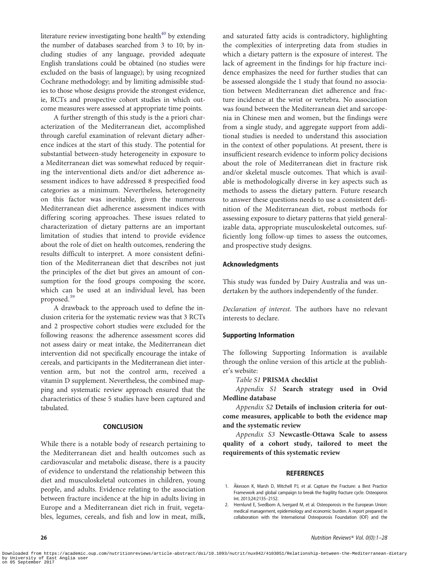<span id="page-25-0"></span>literature review investigating bone health $40$  by extending the number of databases searched from 3 to 10; by including studies of any language, provided adequate English translations could be obtained (no studies were excluded on the basis of language); by using recognized Cochrane methodology; and by limiting admissible studies to those whose designs provide the strongest evidence, ie, RCTs and prospective cohort studies in which outcome measures were assessed at appropriate time points.

A further strength of this study is the a priori characterization of the Mediterranean diet, accomplished through careful examination of relevant dietary adherence indices at the start of this study. The potential for substantial between-study heterogeneity in exposure to a Mediterranean diet was somewhat reduced by requiring the interventional diets and/or diet adherence assessment indices to have addressed 8 prespecified food categories as a minimum. Nevertheless, heterogeneity on this factor was inevitable, given the numerous Mediterranean diet adherence assessment indices with differing scoring approaches. These issues related to characterization of dietary patterns are an important limitation of studies that intend to provide evidence about the role of diet on health outcomes, rendering the results difficult to interpret. A more consistent definition of the Mediterranean diet that describes not just the principles of the diet but gives an amount of consumption for the food groups composing the score, which can be used at an individual level, has been proposed.<sup>[39](#page-26-0)</sup>

A drawback to the approach used to define the inclusion criteria for the systematic review was that 3 RCTs and 2 prospective cohort studies were excluded for the following reasons: the adherence assessment scores did not assess dairy or meat intake, the Mediterranean diet intervention did not specifically encourage the intake of cereals, and participants in the Mediterranean diet intervention arm, but not the control arm, received a vitamin D supplement. Nevertheless, the combined mapping and systematic review approach ensured that the characteristics of these 5 studies have been captured and tabulated.

# **CONCLUSION**

While there is a notable body of research pertaining to the Mediterranean diet and health outcomes such as cardiovascular and metabolic disease, there is a paucity of evidence to understand the relationship between this diet and musculoskeletal outcomes in children, young people, and adults. Evidence relating to the association between fracture incidence at the hip in adults living in Europe and a Mediterranean diet rich in fruit, vegetables, legumes, cereals, and fish and low in meat, milk,

and saturated fatty acids is contradictory, highlighting the complexities of interpreting data from studies in which a dietary pattern is the exposure of interest. The lack of agreement in the findings for hip fracture incidence emphasizes the need for further studies that can be assessed alongside the 1 study that found no association between Mediterranean diet adherence and fracture incidence at the wrist or vertebra. No association was found between the Mediterranean diet and sarcopenia in Chinese men and women, but the findings were from a single study, and aggregate support from additional studies is needed to understand this association in the context of other populations. At present, there is insufficient research evidence to inform policy decisions about the role of Mediterranean diet in fracture risk and/or skeletal muscle outcomes. That which is available is methodologically diverse in key aspects such as methods to assess the dietary pattern. Future research to answer these questions needs to use a consistent definition of the Mediterranean diet, robust methods for assessing exposure to dietary patterns that yield generalizable data, appropriate musculoskeletal outcomes, sufficiently long follow-up times to assess the outcomes, and prospective study designs.

#### Acknowledgments

This study was funded by Dairy Australia and was undertaken by the authors independently of the funder.

Declaration of interest. The authors have no relevant interests to declare.

#### Supporting Information

The following Supporting Information is available through the online version of this article at the publisher's website:

Table S1 PRISMA checklist

Appendix S1 Search strategy used in Ovid Medline database

Appendix S2 Details of inclusion criteria for outcome measures, applicable to both the evidence map and the systematic review

Appendix S3 Newcastle-Ottawa Scale to assess quality of a cohort study, tailored to meet the requirements of this systematic review

#### **REFERENCES**

- 1. Åkesson K, Marsh D, Mitchell PJ, et al. Capture the Fracture: a Best Practice Framework and global campaign to break the fragility fracture cycle. Osteoporos Int. 2013;24:2135–2152.
- 2. Hernlund E, Svedbom A, Ivergard M, et al. Osteoporosis in the European Union: medical management, epidemiology and economic burden. A report prepared in collaboration with the International Osteoporosis Foundation (IOF) and the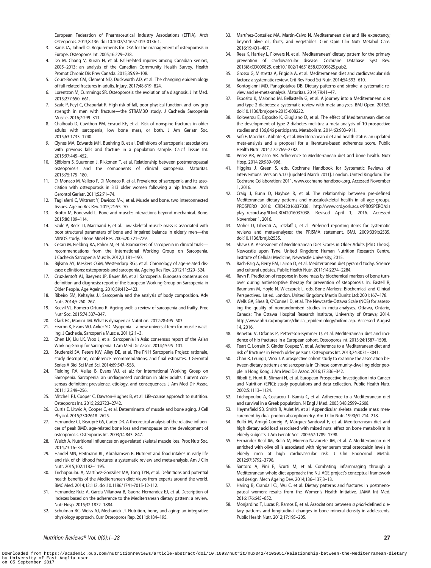<span id="page-26-0"></span>European Federation of Pharmaceutical Industry Associations (EFPIA). Arch Osteoporos. 2013;8:136. doi:10.1007/s11657-013-0136-1.

- 3. Kanis JA, Johnell O. Requirements for DXA for the management of osteoporosis in Europe. Osteoporos Int. 2005;16:229–238.
- 4. Do M, Chang V, Kuran N, et al. Fall-related injuries among Canadian seniors, 2005–2013: an analysis of the Canadian Community Health Survey. Health Promot Chronic Dis Prev Canada. 2015;35:99–108.
- 5. Court-Brown CM, Clement ND, Duckworth AD, et al. The changing epidemiology of fall-related fractures in adults. Injury. 2017;48:819–824.
- 6. Lorentzon M, Cummings SR. Osteoporosis: the evolution of a diagnosis. J Int Med. 2015;277:650–661.
- 7. Szulc P, Feyt C, Chapurlat R. High risk of fall, poor physical function, and low grip strength in men with fracture—the STRAMBO study. J Cachexia Sarcopenia Muscle. 2016;7:299–311.
- 8. Chalhoub D, Cawthon PM, Ensrud KE, et al. Risk of nonspine fractures in older adults with sarcopenia, low bone mass, or both. J Am Geriatr Soc. 2015;63:1733–1740.
- 9. Clynes MA, Edwards MH, Buehring B, et al. Definitions of sarcopenia: associations with previous falls and fracture in a population sample. Calcif Tissue Int. 2015;97:445–452.
- 10. Sjöblom S, Suuronen J, Rikkonen T, et al. Relationship between postmenopausal osteoporosis and the components of clinical sarcopenia. Maturitas. 2013;75:175–180.
- 11. Di Monaco M, Vallero F, Di Monaco R, et al. Prevalence of sarcopenia and its association with osteoporosis in 313 older women following a hip fracture. Arch Gerontol Geriatr. 2011;52:71–74.
- 12. Tagliaferri C, Wittrant Y, Davicco M-J, et al. Muscle and bone, two interconnected tissues. Ageing Res Rev. 2015;21:55–70.
- 13. Brotto M, Bonewald L. Bone and muscle: Interactions beyond mechanical. Bone. 2015;80:109–114.
- 14. Szulc P, Beck TJ, Marchand F, et al. Low skeletal muscle mass is associated with poor structural parameters of bone and impaired balance in elderly men—the MINOS study. J Bone Minel Res. 2005;20:721–729.
- 15. Cesari M, Fielding RA, Pahor M, et al. Biomarkers of sarcopenia in clinical trials recommendations from the International Working Group on Sarcopenia. J Cachexia Sarcopenia Muscle. 2012;3:181–190.
- 16. Bijlsma AY, Meskers CGM, Westendorp RGJ, et al. Chronology of age-related disease definitions: osteoporosis and sarcopenia. Ageing Res Rev. 2012;11:320–324.
- 17. Cruz-Jentoft AJ, Baeyens JP, Bauer JM, et al. Sarcopenia: European consensus on definition and diagnosis: report of the European Working Group on Sarcopenia in Older People. Age Ageing. 2010;39:412–423.
- 18. Ribeiro SM, Kehayias JJ. Sarcopenia and the analysis of body composition. Adv Nutr. 2014;5:260–267.
- 19. Keevil VL, Romero-Ortuno R. Ageing well: a review of sarcopenia and frailty. Proc Nutr Soc. 2015;74:337–347.
- 20. Clark BC, Manini TM. What is dynapenia? Nutrition. 2012;28:495–503.
- 21. Fearon K, Evans WJ, Anker SD. Myopenia—a new universal term for muscle wasting. J Cachexia, Sarcopenia Muscle. 2011;2:1–3.
- 22. Chen LK, Liu LK, Woo J, et al. Sarcopenia in Asia: consensus report of the Asian Working Group for Sarcopenia. J Am Med Dir Assoc. 2014;15:95–101.
- 23. Studenski SA, Peters KW, Alley DE, et al. The FNIH Sarcopenia Project: rationale, study description, conference recommendations, and final estimates. J Gerontol Series A Biol Sci Med Sci. 2014;69:547–558.
- 24. Fielding RA, Vellas B, Evans WJ, et al.; for International Working Group on Sarcopenia. Sarcopenia: an undiagnosed condition in older adults. Current consensus definition: prevalence, etiology, and consequences. J Am Med Dir Assoc. 2011;12:249–256.
- 25. Mitchell PJ, Cooper C, Dawson-Hughes B, et al. Life-course approach to nutrition. Osteoporos Int. 2015;26:2723–2742.
- 26. Curtis E, Litwic A, Cooper C, et al. Determinants of muscle and bone aging. J Cell Physiol. 2015;230:2618–2625.
- 27. Hernandez CJ, Beaupré GS, Carter DR. A theoretical analysis of the relative influences of peak BMD, age-related bone loss and menopause on the development of osteoporosis. Osteoporos Int. 2003;14:843–847.
- 28. Welch A. Nutritional influences on age-related skeletal muscle loss. Proc Nutr Soc. 2014;73:16–33.
- 29. Handel MN, Heitmann BL, Abrahamsen B. Nutrient and food intakes in early life and risk of childhood fractures: a systematic review and meta-analysis. Am J Clin Nutr. 2015;102:1182–1195.
- 30. Trichopoulou A, Martínez-González MA, Tong TYN, et al. Definitions and potential health benefits of the Mediterranean diet: views from experts around the world. BMC Med. 2014;12:112. doi:10.1186/1741-7015-12-112.
- 31. Hernandez-Ruiz A, Garcia-Villanova B, Guerra Hernandez EJ, et al. Description of indexes based on the adherence to the Mediterranean dietary pattern: a review. Nutr Hosp. 2015;32:1872–1884.
- 32. Schulman RC, Weiss AJ, Mechanick JI. Nutrition, bone, and aging: an integrative physiology approach. Curr Osteoporos Rep. 2011;9:184–195.
- 33. Martínez-González MA, Martin-Calvo N. Mediterranean diet and life expectancy; beyond olive oil, fruits, and vegetables. Curr Opin Clin Nutr Metabol Care. 2016;19:401–407.
- 34. Rees K, Hartley L, Flowers N, et al. 'Mediterranean' dietary pattern for the primary prevention of cardiovascular disease. Cochrane Database Syst Rev. 2013(8):CD009825. doi:10.1002/14651858.CD009825.pub2.
- 35. Grosso G, Mistretta A, Frigiola A, et al. Mediterranean diet and cardiovascular risk factors: a systematic review. Crit Rev Food Sci Nutr. 2014;54:593–610.
- 36. Kontogianni MD, Panagiotakos DB. Dietary patterns and stroke: a systematic review and re-meta-analysis. Maturitas. 2014;79:41–47.
- 37. Esposito K, Maiorino MI, Bellastella G, et al. A journey into a Mediterranean diet and type 2 diabetes: a systematic review with meta-analyses. BMJ Open. 2015;5. doi:10.1136/bmjopen-2015-008222.
- Koloverou E, Esposito K, Giugliano D, et al. The effect of Mediterranean diet on the development of type 2 diabetes mellitus: a meta-analysis of 10 prospective studies and 136,846 participants. Metabolism. 2014;63:903–911.
- 39. Sofi F, Macchi C, Abbate R, et al. Mediterranean diet and health status: an updated meta-analysis and a proposal for a literature-based adherence score. Public Health Nutr. 2014;17:2769–2782.
- 40. Perez AR, Velasco AR. Adherence to Mediterranean diet and bone health. Nutr Hosp. 2014;29:989–996.
- 41. Higgins J, Green S, eds. Cochrane Handbook for Systematic Reviews of Interventions. Version 5.1.0 [updated March 2011]. London, United Kingdom: The Cochrane Collaboration; 2011.<www.cochrane-handbook.org>. Accessed November 1, 2016.
- 42. Craig J, Bunn D, Hayhoe R, et al. The relationship between pre-defined Mediterranean dietary patterns and musculoskeletal health in all age groups. PROSPERO 2016: CRD42016037038. [http://www.crd.york.ac.uk/PROSPERO/dis](http://www.crd.york.ac.uk/PROSPERO/display_record.asp?ID=CRD42016037038) [play\\_record.asp?ID](http://www.crd.york.ac.uk/PROSPERO/display_record.asp?ID=CRD42016037038)=[CRD42016037038](http://www.crd.york.ac.uk/PROSPERO/display_record.asp?ID=CRD42016037038). Revised April 1, 2016. Accessed November 1, 2016.
- 43. Moher D, Liberati A, Tetzlaff J, et al. Preferred reporting items for systematic reviews and meta-analyses: the PRISMA statement. BMJ. 2009;339:b2535. doi:10.1136/bmj.b2535.
- 44. Shaw CA. Assessment of Mediterranean Diet Scores in Older Adults [PhD Thesis]. Newcastle upon Tyne, United Kingdom: Human Nutrition Research Centre, Institute of Cellular Medicine, Newcastle University; 2015.
- 45. Bach-Faig A, Berry EM, Lairon D, et al. Mediterranean diet pyramid today. Science and cultural updates. Public Health Nutr. 2011;14:2274–2284.
- Ravn P. Prediction of response in bone mass by biochemical markers of bone turnover during antiresorptive therapy for prevention of steoporosis. In: Eastell R, Baumann M, Hoyle N, Wieczorek L, eds. Bone Markers: Biochemical and Clinical Perspectives. 1st ed. London, United Kingdom: Martin Dunitz Ltd; 2001:167–178.
- 47. Wells GA, Shea B, O'Connell D, et al. The Newcastle-Ottawa Scale (NOS) for assessing the quality of nonrandomised studies in meta-analyses. Ottawa, Ontario, Canada: The Ottawa Hospital Research Institute, University of Ottawa; 2014. [http://www.ohri.ca/programs/clinical\\_epidemiology/oxford.asp](http://www.ohri.ca/programs/clinical_epidemiology/oxford.asp). Accessed August 14, 2016.
- 48. Benetou V, Orfanos P, Pettersson-Kymmer U, et al. Mediterranean diet and incidence of hip fractures in a European cohort. Osteoporos Int. 2013;24:1587–1598.
- 49. Feart C, Lorrain S, Ginder Coupez V, et al. Adherence to a Mediterranean diet and risk of fractures in French older persons. Osteoporos Int. 2013;24:3031–3041.
- 50. Chan R, Leung J, Woo J. A prospective cohort study to examine the association between dietary patterns and sarcopenia in Chinese community-dwelling older people in Hong Kong. J Am Med Dir Assoc. 2016;17:336–342.
- 51. Riboli E, Hunt K, Slimani N, et al. European Prospective Investigation into Cancer and Nutrition (EPIC): study populations and data collection. Public Health Nutr. 2002;5:1113–1124.
- 52. Trichopoulou A, Costacou T, Bamia C, et al. Adherence to a Mediterranean diet and survival in a Greek population. N Engl J Med. 2003;348:2599–2608.
- 53. Heymsfield SB, Smith R, Aulet M, et al. Appendicular skeletal muscle mass: measurement by dual-photon absorptiometry. Am J Clin Nutr. 1990;52:214–218.
- 54. Bulló M, Amigó-Correig P, Márquez-Sandoval F, et al. Mediterranean diet and high dietary acid load associated with mixed nuts: effect on bone metabolism in elderly subjects. J Am Geriatr Soc. 2009;57:1789–1798.
- 55. Fernández-Real JM, Bulló M, Moreno-Navarrete JM, et al. A Mediterranean diet enriched with olive oil is associated with higher serum total osteocalcin levels in elderly men at high cardiovascular risk. J Clin Endocrinol Metab. 2012;97:3792–3798.
- 56. Santoro A, Pini E, Scurti M, et al. Combating inflammaging through a Mediterranean whole diet approach: the NU-AGE project's conceptual framework and design. Mech Ageing Dev. 2014;136–137,3–13.
- 57. Haring B, Crandall CJ, Wu C, et al. Dietary patterns and fractures in postmenopausal women: results from the Women's Health Initiative. JAMA Int Med. 2016;176:645–652.
- 58. Monjardino T, Lucas R, Ramos E, et al. Associations between a priori-defined dietary patterns and longitudinal changes in bone mineral density in adolescents. Public Health Nutr. 2012;17:195–205.